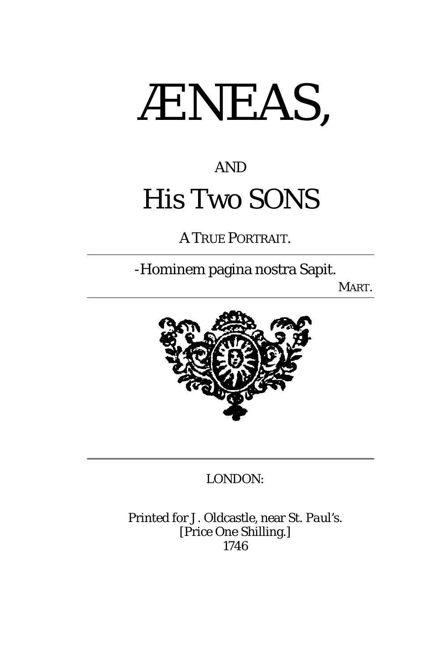

## AND His Two SONS

A TRUE PORTRAIT.

-Hominem pagina nostra Sapit.

MART.



#### LONDON:

Printed for J. Oldcastle, near St. *Paul'*s. [Price One Shilling.] *1746*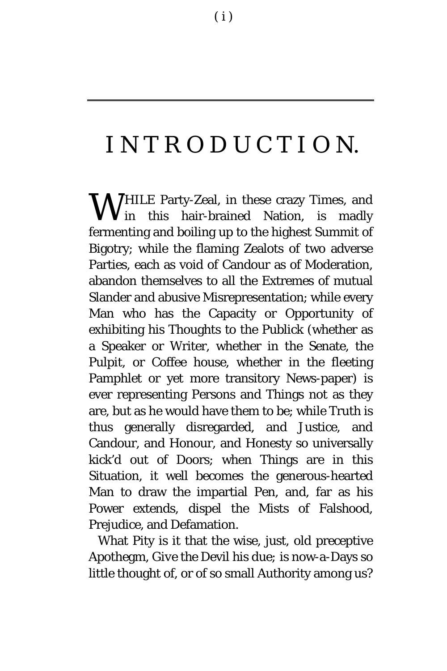## INTRODUCTIO N.

**W**HILE Party-Zeal, in these crazy Times, and<br>
in this hair-brained Nation, is madly **V** in this hair-brained Nation, is madly fermenting and boiling up to the highest Summit of Bigotry; while the flaming Zealots of two adverse Parties, each as void of Candour as of Moderation, abandon themselves to all the Extremes of mutual Slander and abusive Misrepresentation; while every Man who has the Capacity or Opportunity of exhibiting his Thoughts to the Publick (whether as a Speaker or Writer, whether in the Senate, the Pulpit, or Coffee house, whether in the fleeting Pamphlet or yet more transitory News-paper) is ever representing Persons and Things not as they are, but as he would have them to be; while Truth is thus generally disregarded, and Justice, and Candour, and Honour, and Honesty so universally kick'd out of Doors; when Things are in this Situation, it well becomes the generous-hearted Man to draw the impartial Pen, and, far as his Power extends, dispel the Mists of Falshood, Prejudice, and Defamation.

What Pity is it that the wise, just, old preceptive Apothegm, *Give the* Devil *his due;* is now-a-Days so little thought of, or of so small Authority among us?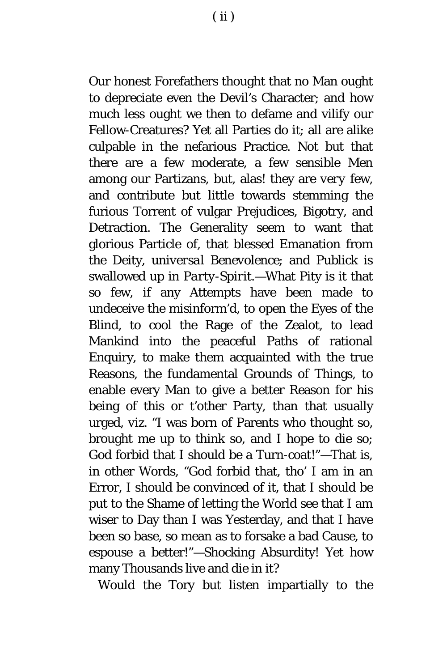Our honest Forefathers thought that no Man ought to depreciate even the Devil's Character; and how much less ought we then to defame and vilify our Fellow-Creatures? Yet all Parties do it; all are alike culpable in the nefarious Practice. Not but that there are a few moderate, a few sensible Men among our Partizans, but, alas! they are *very* few, and contribute but little towards stemming the furious Torrent of vulgar Prejudices, Bigotry, and Detraction. The Generality seem to want that glorious Particle of, that blessed Emanation from the Deity, *universal Benevolence*; and *Publick* is swallowed up in *Party-Spirit.*—What Pity is it that so few, if any Attempts have been made to undeceive the misinform'd, to open the Eyes of the Blind, to cool the Rage of the Zealot, to lead Mankind into the peaceful Paths of rational Enquiry, to make them acquainted with the true Reasons, the fundamental Grounds of Things, to enable every Man to give a better Reason for his being of this or t'other Party, than that usually urged, *viz.* "I was born of Parents who thought so, brought me up to think so, and I hope to die so; God forbid that I should be a Turn-coat!"—That is, in other Words, "God forbid that, tho' I am in an Error, I should be convinced of it, that I should be put to the Shame of letting the World see that I am wiser to Day than I was Yesterday, and that I have been so base, so mean as to forsake a bad Cause, to espouse a better!"—Shocking Absurdity! Yet how many Thousands live and die in it?

Would the Tory but listen impartially to the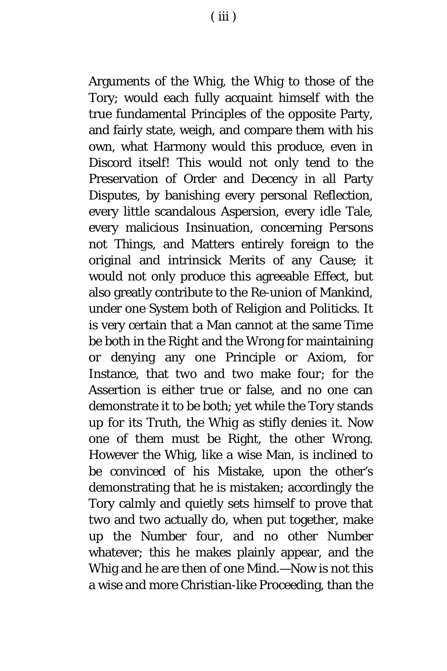Arguments of the Whig, the Whig to those of the Tory; would each fully acquaint himself with the true fundamental Principles of the opposite Party, and fairly state, weigh, and compare them with his own, what Harmony would this produce, even in Discord itself! This would not only tend to the Preservation of Order and Decency in all Party Disputes, by banishing every personal Reflection, every little scandalous Aspersion, every idle Tale, every malicious Insinuation, concerning *Persons* not *Things,* and Matters entirely foreign to the original and intrinsick Merits of any *Cause*; it would not only produce this agreeable Effect, but also greatly contribute to the Re-union of Mankind, under one System both of Religion and Politicks. It is very certain that a Man cannot at the same Time be both in the Right and the Wrong for maintaining or denying any one Principle or Axiom, for Instance, that *two* and *two* make *four*; for the Assertion is either true or false, and no one can demonstrate it to be both; yet while the Tory stands up for its Truth, the Whig as stifly denies it. Now one of them must be Right, the other Wrong. However the Whig, like a wise Man, is inclined to be convinced of his Mistake, upon the other's demonstrating that he is mistaken; accordingly the Tory calmly and quietly sets himself to prove that *two* and *two* actually do, when put together, make up the Number *four,* and no other Number whatever; this he makes plainly appear, and the Whig and he are then of one Mind.—Now is not this a wise and more Christian-like Proceeding, than the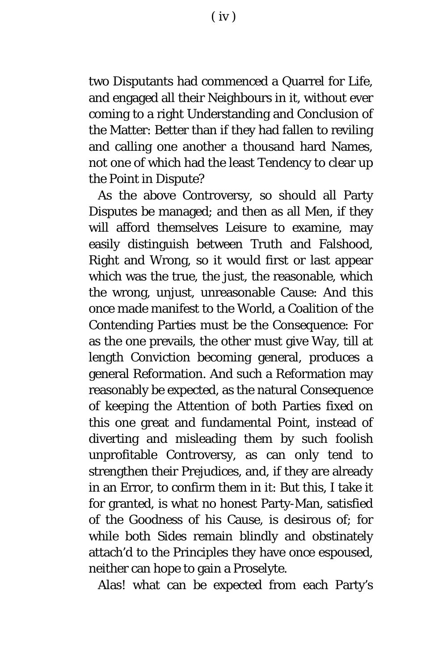two Disputants had commenced a Quarrel for Life, and engaged all their Neighbours in it, without ever coming to a right Understanding and Conclusion of the Matter: Better than if they had fallen to reviling and calling one another a thousand hard Names, not one of which had the least Tendency to clear up the Point in Dispute?

As the above Controversy, so should all Party Disputes be managed; and then as all Men, if they will afford themselves Leisure to examine, may easily distinguish between Truth and Falshood, Right and Wrong, so it would first or last appear which was the true, the just, the reasonable, which the wrong, unjust, unreasonable Cause: And this once made manifest to the World, a Coalition of the Contending Parties must be the Consequence: For as the one prevails, the other must give Way, till at length Conviction becoming general, produces a general Reformation. And such a Reformation may reasonably be expected, as the natural Consequence of keeping the Attention of both Parties fixed on this one great and fundamental Point, instead of diverting and misleading them by such foolish unprofitable Controversy, as can only tend to strengthen their Prejudices, and, if they are already in an Error, to confirm them in it: But this, I take it for granted, is what no honest Party-Man, satisfied of the Goodness of his Cause, is desirous of; for while both Sides remain blindly and obstinately attach'd to the Principles they have once espoused, neither can hope to gain a Proselyte.

Alas! what can be expected from each Party's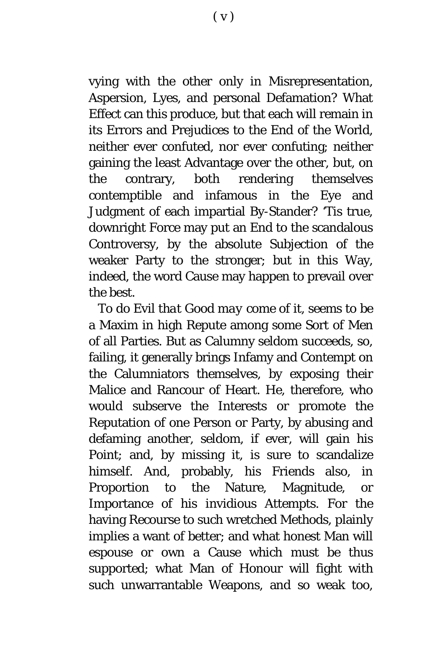vying with the other only in Misrepresentation, Aspersion, Lyes, and personal Defamation? What Effect can this produce, but that each will remain in its Errors and Prejudices to the End of the World, neither ever confuted, nor ever confuting; neither gaining the least Advantage over the other, but, on the contrary, both rendering themselves contemptible and infamous in the Eye and Judgment of each impartial By-Stander? 'Tis true, downright Force may put an End to the scandalous Controversy, by the absolute Subjection of the weaker Party to the stronger; but in this Way, indeed, the word Cause may happen to prevail over the best.

*To do* Evil *that* Good *may come of it*, seems to be a Maxim in high Repute among some Sort of Men of all Parties. But as Calumny seldom succeeds, so, failing, it generally brings Infamy and Contempt on the Calumniators themselves, by exposing their Malice and Rancour of Heart. He, therefore, who would subserve the Interests or promote the Reputation of one Person or Party, by abusing and defaming another, seldom, if ever, will gain his Point; and, by missing it, is sure to scandalize himself. And, probably, his Friends also, in Proportion to the Nature, Magnitude, or Importance of his invidious Attempts. For the having Recourse to such wretched Methods, plainly implies a want of better; and what honest Man will espouse or own a Cause which must be thus supported; what Man of Honour will fight with such unwarrantable Weapons, and so weak too,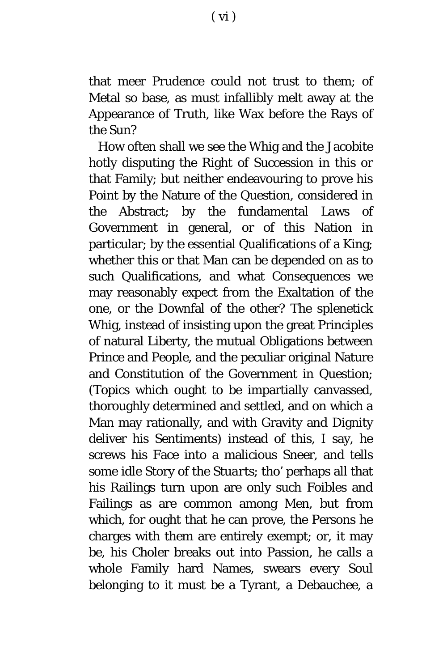that meer Prudence could not trust to them; of Metal so base, as must infallibly melt away at the Appearance of Truth, like Wax before the Rays of the Sun?

How often shall we see the Whig and the Jacobite hotly disputing the Right of Succession in this or that Family; but neither endeavouring to prove his Point by the Nature of the Question, considered in the Abstract; by the fundamental Laws of Government in general, or of this Nation in particular; by the essential Qualifications of a King; whether this or that Man can be depended on as to such Qualifications, and what Consequences we may reasonably expect from the Exaltation of the one, or the Downfal of the other? The splenetick Whig, instead of insisting upon the great Principles of natural Liberty, the mutual Obligations between Prince and People, and the peculiar original Nature and Constitution of the Government in Question; (Topics which ought to be impartially canvassed, thoroughly determined and settled, and on which a Man may rationally, and with Gravity and Dignity deliver his Sentiments) instead of this, I say, he screws his Face into a malicious Sneer, and tells some idle Story of the *Stuarts*; tho' perhaps all that his Railings turn upon are only such Foibles and Failings as are common among Men, but from which, for ought that he can prove, the Persons he charges with them are entirely exempt; or, it may be, his Choler breaks out into Passion, he calls a whole Family hard Names, swears every Soul belonging to it must be a Tyrant, a Debauchee, a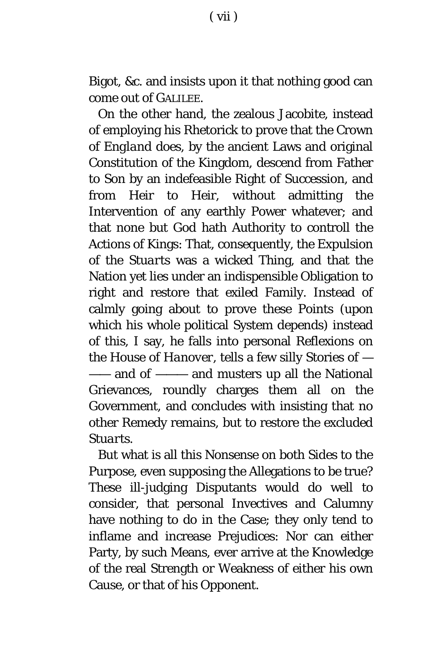Bigot, *&c.* and insists upon it that nothing good can come out of GALILEE.

On the other hand, the zealous Jacobite, instead of employing his Rhetorick to prove that the Crown of *England* does, by the ancient Laws and original Constitution of the Kingdom, descend from Father to Son by an indefeasible Right of Succession, and from Heir to Heir, without admitting the Intervention of any earthly Power whatever; and that none but God hath Authority to controll the Actions of Kings: That, consequently, the Expulsion of the *Stuarts* was a wicked Thing, and that the Nation yet lies under an indispensible Obligation to right and restore that exiled Family. Instead of calmly going about to prove these Points (upon which his whole political System depends) instead of this, I say, he falls into personal Reflexions on the House of *Hanover,* tells a few silly Stories of — —— and of ——— and musters up all the National Grievances, roundly charges them all on the Government, and concludes with insisting that no other Remedy remains, but to restore the excluded *Stuarts.*

But what is all this Nonsense on both Sides to the Purpose, even supposing the Allegations to be true? These ill-judging Disputants would do well to consider, that personal Invectives and Calumny have nothing to do in the Case; they only tend to inflame and increase Prejudices: Nor can either Party, by such Means, ever arrive at the Knowledge of the real Strength or Weakness of either his own Cause, or that of his Opponent.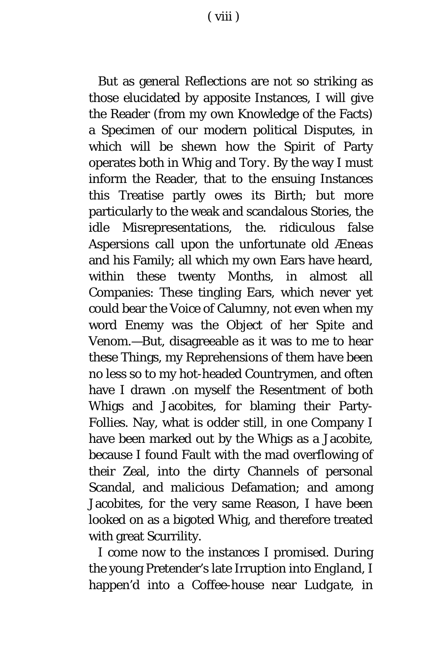( viii )

But as general Reflections are not so striking as those elucidated by apposite Instances, I will give the Reader (from my own Knowledge of the Facts) a Specimen of our modern political Disputes, in which will be shewn how the Spirit of Party operates both in *Whig* and *Tory.* By the way I must inform the Reader, that to the ensuing Instances this Treatise partly owes its Birth; but more particularly to the weak and scandalous Stories, the idle Misrepresentations, the. ridiculous false Aspersions call upon the unfortunate old *Æneas* and his Family; all which my own Ears have heard, within these twenty Months, in almost all Companies: These tingling Ears, which never yet could bear the Voice of Calumny, not even when my word Enemy was the Object of her Spite and Venom.—But, disagreeable as it was to me to hear these Things, my Reprehensions of them have been no less so to my hot-headed Countrymen, and often have I drawn .on myself the Resentment of both Whigs and Jacobites, for blaming their Party-Follies. Nay, what is odder still, in one Company I have been marked out by the Whigs as a Jacobite, because I found Fault with the mad overflowing of their Zeal, into the dirty Channels of personal Scandal, and malicious Defamation; and among Jacobites, for the very same Reason, I have been looked on as a bigoted Whig, and therefore treated with great Scurrility.

I come now to the instances I promised. During the young Pretender's late Irruption into *England*, I happen'd into a Coffee-house near *Ludgate*, in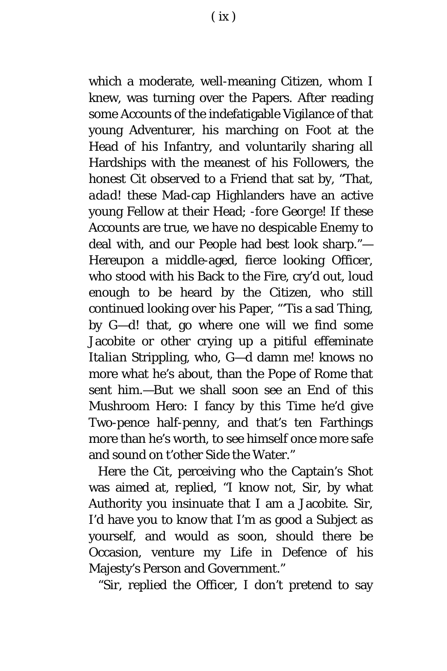which a moderate, well-meaning Citizen, whom I knew, was turning over the Papers. After reading some Accounts of the indefatigable Vigilance of that young Adventurer, his marching on Foot at the Head of his Infantry, and voluntarily sharing all Hardships with the meanest of his Followers, the honest Cit observed to a Friend that sat by, "That, *adad!* these Mad-cap Highlanders have an active young Fellow at their Head; -*fore George!* If these Accounts are true, we have no despicable Enemy to deal with, and our People had best look sharp."— Hereupon a middle-aged, fierce looking Officer, who stood with his Back to the Fire, cry'd out, loud enough to be heard by the Citizen, who still continued looking over his Paper, "'Tis a sad Thing, by G—d! that, go where one will we find some Jacobite or other crying up a pitiful effeminate *Italian* Strippling, who, G—d damn me! knows no more what he's about, than the Pope of *Rome* that sent him.—But we shall soon see an End *of this*  Mushroom Hero: I fancy by this Time he'd give Two-pence half-penny, and that's ten Farthings more than he's worth, to see himself once more safe and sound on t'other Side the Water."

Here the Cit, perceiving who the Captain's Shot was aimed at, replied, "I know not, Sir, by what Authority you insinuate that I am a Jacobite. Sir, I'd have you to know that I'm as good a Subject as yourself, and would as soon, should there be Occasion, venture my Life in Defence of his Majesty's Person and Government."

"Sir, replied the Officer, I don't pretend to say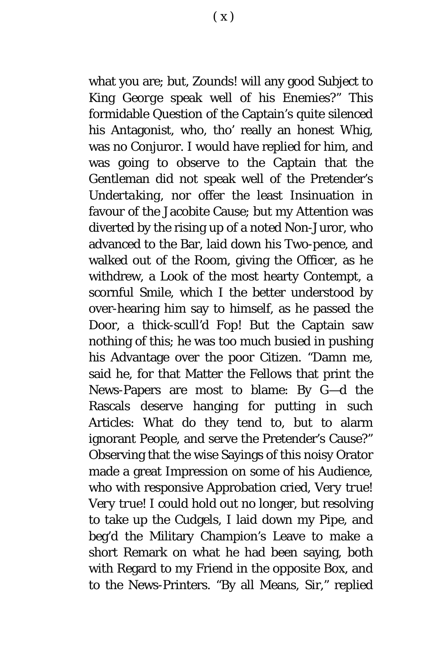what you are; but, Zounds! will any good Subject to King *George* speak well of his Enemies?" This formidable Question of the Captain's quite silenced his Antagonist, who, tho' really an honest Whig, was no Conjuror. I would have replied for him, and was going to observe to the Captain that the Gentleman did not speak well of the Pretender's *Undertaking,* nor offer the least Insinuation in favour of the Jacobite Cause; but my Attention was diverted by the rising up of a noted Non-Juror, who advanced to the Bar, laid down his Two-pence, and walked out of the Room, giving the Officer, as he withdrew, a Look of the most hearty Contempt, a scornful Smile, which I the better understood by over-hearing him say to himself, as he passed the Door, *a thick*-*scull'd Fop!* But the Captain saw nothing of this; he was too much busied in pushing his Advantage over the poor Citizen. "Damn me, said he, for that Matter the Fellows that print the News-Papers are most to blame: By G—d the Rascals deserve hanging for putting in such Articles: What do they tend to, but to alarm ignorant People, and serve the Pretender's Cause?" Observing that the wise Sayings of this noisy Orator made a great Impression on some of his Audience, who with responsive Approbation cried, *Very true! Very true!* I could hold out no longer, but resolving to take up the Cudgels, I laid down my Pipe, and beg'd the Military Champion's Leave to make a short Remark on what he had been saying, both with Regard to my Friend in the opposite Box, and to the News-Printers. "By all Means, Sir," replied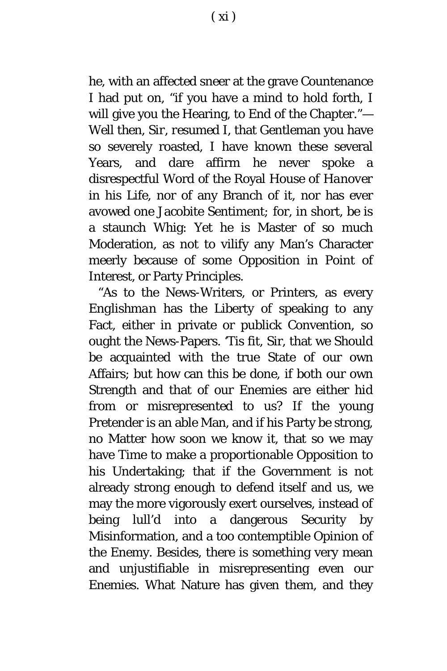he, with an affected sneer at the grave Countenance I had put on, "if you have a mind to hold forth, I will give you the Hearing, to End of the Chapter."— *Well then*, *Sir, resumed I,* that Gentleman you have so severely roasted*,* I have known these several Years*,* and dare affirm he never spoke a disrespectful Word of the Royal House of *Hanover*  in his Life*,* nor of any Branch of it, nor has ever avowed one Jacobite Sentiment*;* for*,* in short*,* be is a staunch Whig: Yet he is Master of so much Moderation, as not to vilify any Man's Character meerly because of some Opposition in Point of Interest, or Party Principles*.*

"As to the News-Writers, or Printers, as every *Englishman* has the Liberty of speaking to any Fact, either in private or publick Convention, so ought the News-Papers. 'Tis fit, Sir, that we Should be acquainted with the true State of our own Affairs; but how can this be done, if both our own Strength and that of our Enemies are either hid from or misrepresented to us? If the young Pretender is an able Man, and if his Party be strong, no Matter how soon we know it, that so we may have Time to make a proportionable Opposition to his Undertaking; that if the Government is not already strong enough to defend itself and us, we may the more vigorously exert ourselves, instead of being lull'd into a dangerous Security by Misinformation, and a too contemptible Opinion of the Enemy. Besides, there is something very mean and unjustifiable in misrepresenting even our Enemies. What Nature has given them, and they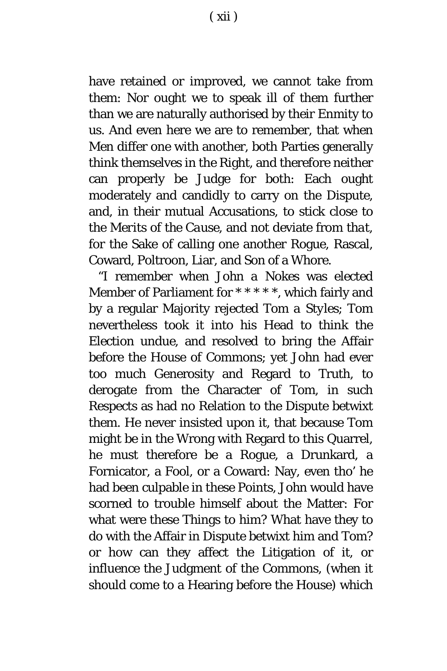have retained or improved, we cannot take from them: Nor ought we to speak ill of them further than we are naturally authorised by their Enmity to us. And even here we are to remember, that when Men differ one with another, both Parties generally think themselves in the Right, and therefore neither can properly be Judge for both: Each ought moderately and candidly to carry on the Dispute, and, in their mutual Accusations, to stick close to the *Merits of the Cause*, and not deviate from *that,* for the Sake of calling one another Rogue, Rascal, Coward, Poltroon, Liar, and Son of a Whore.

"I remember when *John a Nokes* was elected Member of Parliament for *\** \* *\* \* \*,* which fairly and by a regular Majority rejected *Tom a Styles*; *Tom* nevertheless took it into his Head to think the Election *undue*, and resolved to bring the Affair before the House of Commons; yet *John* had ever too much Generosity and Regard to Truth, to derogate from the Character of *Tom,* in such Respects as had no Relation to the Dispute betwixt them. He never insisted upon it, that because *Tom* might be in the Wrong with Regard to this Quarrel, he must therefore be a Rogue, a Drunkard, a Fornicator, a Fool, or a Coward: Nay, even tho' he had been culpable in these Points, *John* would have scorned to trouble himself about the Matter: For what were these Things to him? What have they to do with the Affair in Dispute betwixt him and *Tom?* or how can they affect the Litigation of it, or influence the Judgment of the Commons, (when it should come to a Hearing before the House) which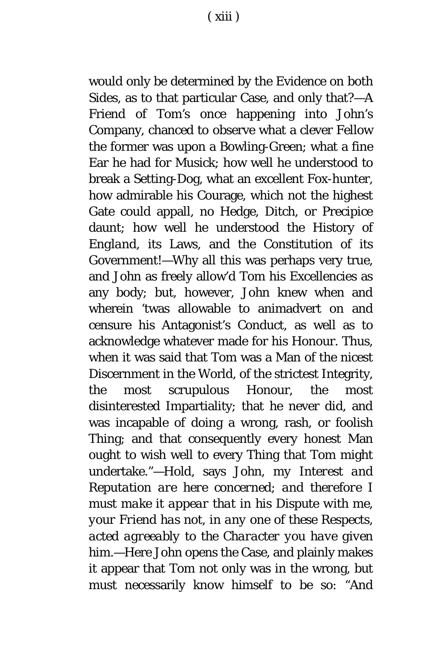would only be determined by the Evidence on both Sides, as to that particular Case, and only that?—A Friend of *Tom's* once happening into *John*'s Company, chanced to observe what a clever Fellow the former was upon a Bowling-Green; what a fine Ear he had for Musick; how well he understood to break a Setting-Dog, what an excellent Fox-hunter, how admirable his Courage, which not the highest Gate could appall, no Hedge, Ditch, or Precipice daunt; how well he understood the History of *England,* its Laws, and the Constitution of its Government!—Why all this was perhaps very true, and *John* as freely allow'd *Tom* his Excellencies as any body; but, however, *John* knew when and wherein 'twas allowable to animadvert on and censure his Antagonist's Conduct, as well as to acknowledge whatever made for his Honour. Thus, when it was said that *Tom* was a Man of the nicest Discernment in the World, of the strictest Integrity, the most scrupulous Honour, the most disinterested Impartiality; that he never did, and was incapable of doing a wrong, rash, or foolish Thing; and that consequently every honest Man ought to wish well to every Thing that *Tom* might undertake."—*Hold,* says *John, my Interest and Reputation are here concerned*; *and therefore I must make it appear that in his Dispute with me, your Friend has not, in any one of these Respects*, *acted agreeably to the Character you have given him.*—Here *John* opens the Case, and plainly makes it appear that *Tom* not only was in the wrong, but must necessarily know himself to be so: "And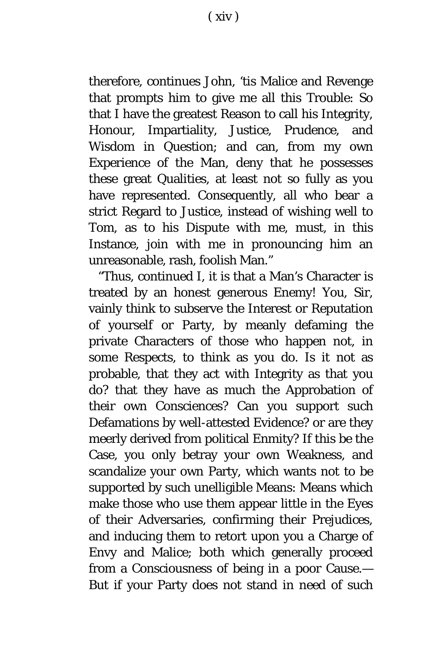therefore, continues *John,* 'tis Malice and Revenge that prompts him to give me all this Trouble: So that I have the greatest Reason to call his Integrity, Honour, Impartiality, Justice, Prudence, and Wisdom in Question; and can, from my own Experience of the Man, deny that he possesses these great Qualities, at least not so fully as you have represented. Consequently, all who bear a strict Regard to Justice, instead of wishing well to *Tom,* as to his Dispute with me, must, in this Instance, join with me in pronouncing him an unreasonable, rash, foolish Man."

"Thus, continued I, it is that a Man's Character is treated by an honest generous Enemy! You, Sir, vainly think to subserve the Interest or Reputation of yourself or Party, by meanly defaming the private Characters of those who happen not, in some Respects, to think as you do. Is it not as probable, that they act with Integrity as that you do? that they have as much the Approbation of their own Consciences? Can you support such Defamations by well-attested Evidence? or are they meerly derived from political Enmity? If this be the Case, you only betray your own Weakness, and scandalize your own Party, which wants not to be supported by such unelligible Means: Means which make those who use them appear little in the Eyes of their Adversaries, confirming their Prejudices, and inducing them to retort upon you a Charge of Envy and Malice; both which generally proceed from a Consciousness of being in a poor Cause.— But if your Party does not stand in need of such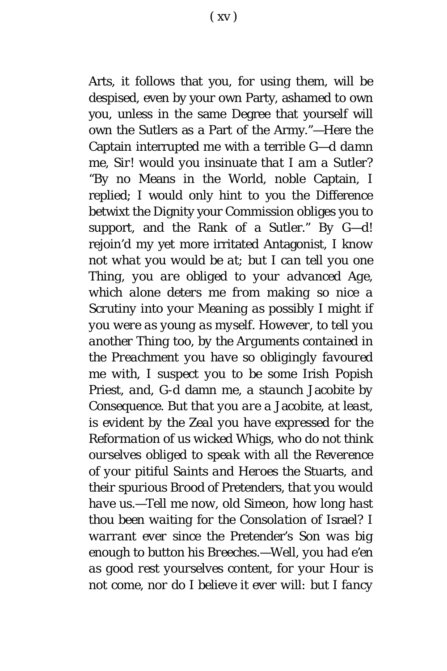Arts, it follows that you, for using them, will be despised, even by your own Party, ashamed to own you, unless in the same Degree that yourself will own the Sutlers as a Part of the Army."—Here the Captain interrupted me with a terrible *G*—*d damn me*, *Sir! would you insinuate that I am a Sutler?* "By no Means in the World, noble Captain, I replied; I would only hint to you the Difference betwixt the Dignity your Commission obliges you to support, and the Rank of a Sutler." *By G—d!* rejoin'd my yet more irritated Antagonist*, I know not what you would be at; but I can tell you one Thing, you are obliged to your advanced Age, which alone deters me from making so nice a Scrutiny into your Meaning as possibly I might if you were as young as myself. However, to tell you another Thing too*, *by the Arguments contained in the Preachment you have so obligingly favoured me with, I suspect you to be some* Irish Popish Priest, *and,* G-d damn me, *a staunch* Jacobite *by Consequence. But that you are a* Jacobite, *at least*, *is evident by the Zeal you have expressed for the Reformation of us wicked* Whigs, *who do not think ourselves obliged to speak with all the Reverence of your pitiful Saints and Heroes the* Stuarts, *and their spurious Brood of* Pretenders, *that you would have us.—Tell me now, old* Simeon, *how long hast thou been waiting for the Consolation of* Israel? *I warrant ever since the* Pretender's Son *was big enough to button his Breeches.*—*Well*, *you had e'en as good rest yourselves content*, *for your Hour is not come, nor do I believe it ever will: but I fancy*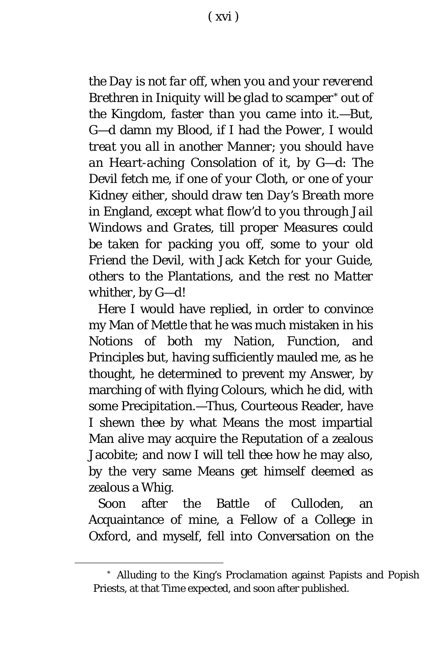*the Day is not far off, when you and your reverend Brethren in Iniquity will be glad to scamper[\\*](#page-16-0) out of the Kingdom*, *faster than you came into it.*—*But,* G—d damn my Blood, *if I had the Power*, *I would treat you all in another Manner*; *you should have an Heart-aching* Consolation *of it,* by G—d: *The* Devil *fetch me*, *if one of your Cloth, or one of your Kidney either*, *should draw ten Day's Breath more in* England, *except what flow'd to you through Jail Windows and Grates*, *till proper Measures could be taken for packing you off, some to your old Friend the* Devil, *with* Jack Ketch *for your Guide, others to the* Plantations, *and the rest no Matter whither,* by G—d!

Here I would have replied, in order to convince my Man of Mettle that he was much mistaken in his Notions of both my Nation, Function, and Principles but, having sufficiently mauled me, as he thought, he determined to prevent my Answer, by marching of with flying Colours, which he did, with some Precipitation.—Thus, Courteous Reader, have I shewn thee by what Means the most impartial Man alive may acquire the Reputation of a zealous Jacobite; and now I will tell thee how he may also, by the very same Means get himself deemed as zealous a Whig.

Soon after the Battle of *Culloden*, an Acquaintance of mine, a Fellow of a College in *Oxford*, and myself, fell into Conversation on the

<span id="page-16-0"></span>Ĩ.

<sup>\*</sup> Alluding to the King's Proclamation against Papists and Popish Priests, at that Time expected, and soon after published.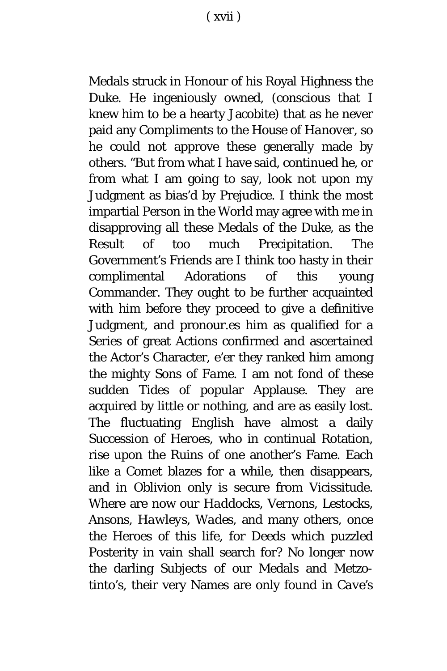Medals struck in Honour of his Royal Highness the Duke. He ingeniously owned, (conscious that I knew him to be a hearty Jacobite) that as he never paid any Compliments to the House of *Hanover*, so he could not approve these generally made by others. "But from what I have said, continued he, or from what I am going to say, look not upon my Judgment as bias'd by Prejudice. I think the most impartial Person in the World may agree with me in disapproving all these Medals of the Duke, as the Result of too much Precipitation. The Government's Friends are I think too hasty in their complimental Adorations of this young Commander. They ought to be further acquainted with him before they proceed to give a definitive Judgment, and pronour.es him as qualified for a Series of great Actions confirmed and ascertained the Actor's Character, e'er they ranked him among the mighty Sons of *Fame.* I am not fond of these sudden Tides of popular Applause. They are acquired by little or nothing, and are as easily lost. The fluctuating *English* have almost a daily Succession of Heroes, who in continual Rotation, rise upon the Ruins of one another's Fame. Each like a Comet blazes for a while, then disappears, and in Oblivion only is secure from Vicissitude. Where are now our *Haddocks*, *Vernons, Lestocks, Ansons*, *Hawleys, Wades*, and many others, once the Heroes of this life, for Deeds which puzzled Posterity in vain shall search for? No longer now the darling Subjects of our Medals and Metzotinto's, their very Names are only found in *Cave's*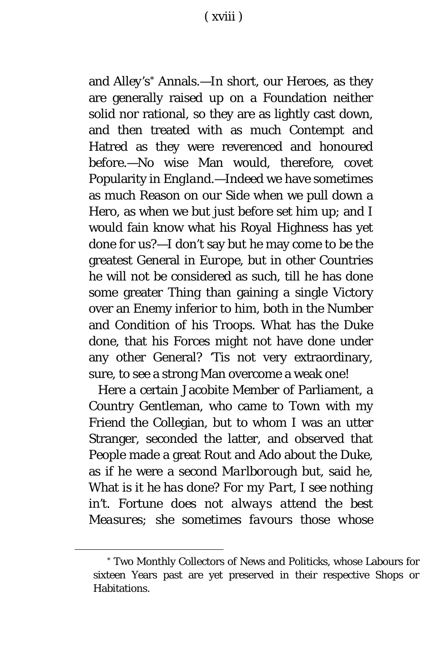and *Alley's[\\*](#page-18-0)* Annals.—In short, our Heroes, as they are generally raised up on a Foundation neither solid nor rational, so they are as lightly cast down, and then treated with as much Contempt and Hatred as they were reverenced and honoured before.—No wise Man would, therefore, covet Popularity in *England.*—Indeed we have sometimes as much Reason on our Side when we pull down a Hero, as when we but just before set him up; and I would fain know what his Royal Highness has yet done for us?—I don't say but he may come to be the greatest General in *Europe,* but in other Countries he will not be considered as such, till he has done some greater Thing than gaining a single Victory over an Enemy inferior to him, both in the Number and Condition of his Troops. What has the Duke done, that his Forces might not have done under any other General? 'Tis not very extraordinary, sure, to see a strong Man overcome a weak one!

Here a certain Jacobite Member of Parliament, a Country Gentleman, who came to Town with my Friend the Collegian, but to whom I was an utter Stranger, seconded the latter, and observed that People made a great Rout and Ado about the Duke, as if he were a second *Marlborough* but, said he, What *is it he has done? For my Part*, *I see nothing in't.* Fortune *does not always attend the best Measures; she sometimes favours those whose* 

<span id="page-18-0"></span>Ĩ.

<sup>\*</sup> Two Monthly Collectors of News and Politicks, whose Labours for sixteen Years past are yet preserved in their respective Shops or Habitations.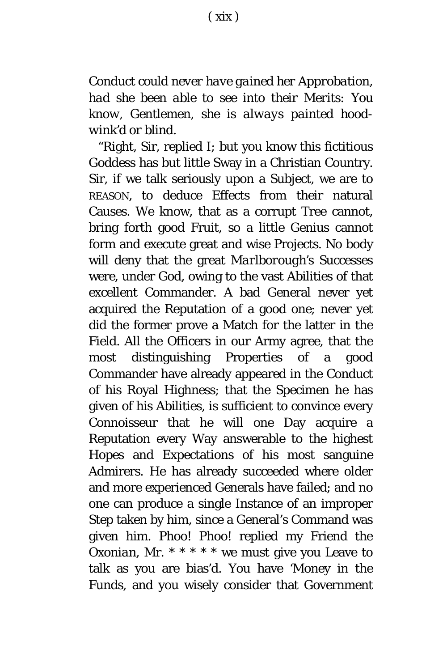*Conduct could never have gained her Approbation, had she been able to see into their Merits: You know*, Gentlemen, *she is always painted hoodwink'd or blind.*

"Right, Sir, replied I; but you know this fictitious Goddess has but little Sway in a Christian Country. Sir, if we talk seriously upon a Subject, we are to REASON, to deduce Effects from their natural Causes. We know, that as a corrupt Tree cannot, bring forth good Fruit, so a little Genius cannot form and execute great and wise Projects. No body will deny that the great *Marlborough's* Successes were, under God, owing to the vast Abilities of that excellent Commander. A bad General never yet acquired the Reputation of a good one; never yet did the former prove a Match for the latter in the Field. All the Officers in our Army agree, that the most distinguishing Properties of a good Commander have already appeared in the Conduct of his Royal Highness; that the Specimen he has given of his Abilities, is sufficient to convince every Connoisseur that he will one Day acquire a Reputation every Way answerable to the highest Hopes and Expectations of his most sanguine Admirers. He has already succeeded where older and more experienced Generals have failed; and no one can produce a single Instance of an improper Step taken by him, since a General's Command was given him. Phoo! Phoo! replied my Friend the *Oxonian,* Mr. \* \* \* \* \* we must give you Leave to talk as you are bias'd. You have 'Money in the Funds, and you wisely consider that Government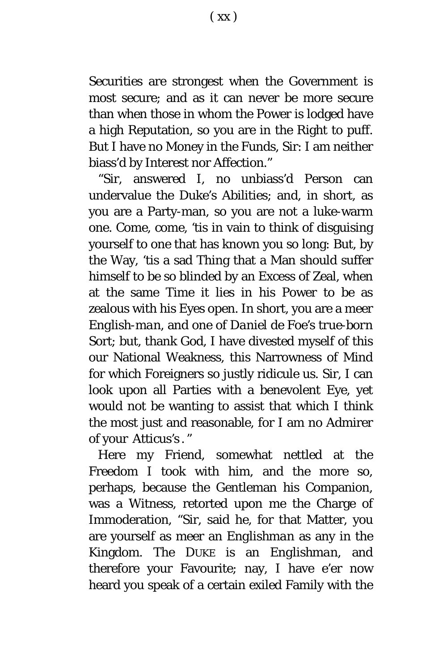Securities are strongest when the Government is most secure; and as it can never be more secure than when those in whom the Power is lodged have a high Reputation, so you are in the Right to puff. But I have no Money in the Funds, Sir: I am neither biass'd by Interest nor Affection."

"Sir, answered I, no unbiass'd Person can undervalue the Duke's Abilities; and, in short, as you are a Party-man, so you are not a luke-warm one. Come, come, 'tis in vain to think of disguising yourself to one that has known you so long: But, by the Way, 'tis a sad Thing that a Man should suffer himself to be so blinded by an Excess of Zeal, when at the same Time it lies in his Power to be as zealous with his Eyes open. In short, you are a meer *English-man,* and one of *Daniel de Foe's true-born*  Sort; but, thank God, I have divested myself of this our National Weakness, this Narrowness of Mind for which Foreigners so justly ridicule us. Sir, I can look upon all Parties with a benevolent Eye, yet would not be wanting to assist that which I think the most just and reasonable, for I am no Admirer of your *Atticus'*s . "

Here my Friend, somewhat nettled at the Freedom I took with him, and the more so, perhaps, because the Gentleman his Companion, was a Witness, retorted upon me the Charge of Immoderation, "Sir, said he, for that Matter, you are yourself as meer an *Englishman* as any in the Kingdom. The DUKE is an *Englishman*, and therefore your Favourite; nay, I have e'er now heard you speak of a certain exiled Family with the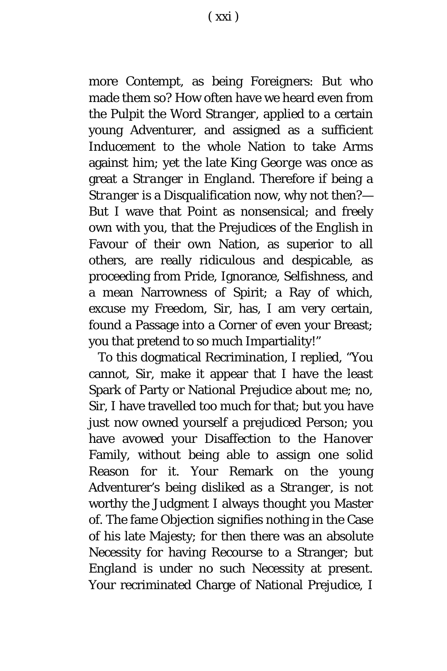more Contempt, as being Foreigners: But who made them so? How often have we heard even from the Pulpit the Word *Stranger*, applied to a certain young Adventurer, and assigned as a sufficient Inducement to the whole Nation to take Arms against him; yet the late King *George* was once as great a *Stranger* in *England.* Therefore if being a *Stranger* is a Disqualification now, why not then?— But I wave that Point as nonsensical; and freely own with you, that the Prejudices of the *English* in Favour of their own Nation, as superior to all others, are really ridiculous and despicable, as proceeding from Pride, Ignorance, Selfishness, and a mean Narrowness of Spirit; a Ray of which, excuse my Freedom, Sir, has, I am very certain, found a Passage into a Corner of even your Breast; you that pretend to so much Impartiality!"

To this dogmatical Recrimination, I replied, "You cannot, Sir, make it appear that I have the least Spark of Party or National Prejudice about me; no, Sir, I have travelled too much for that; but you have just now owned yourself a prejudiced Person; you have avowed your Disaffection to the *Hanover* Family, without being able to assign one solid Reason for it. Your Remark on the young Adventurer's being disliked as a *Stranger*, is not worthy the Judgment I always thought you Master of. The fame Objection signifies nothing in the Case of his late Majesty; for then there was an absolute Necessity for having Recourse to a Stranger; but *England* is under no such Necessity at present. Your recriminated Charge of National Prejudice, I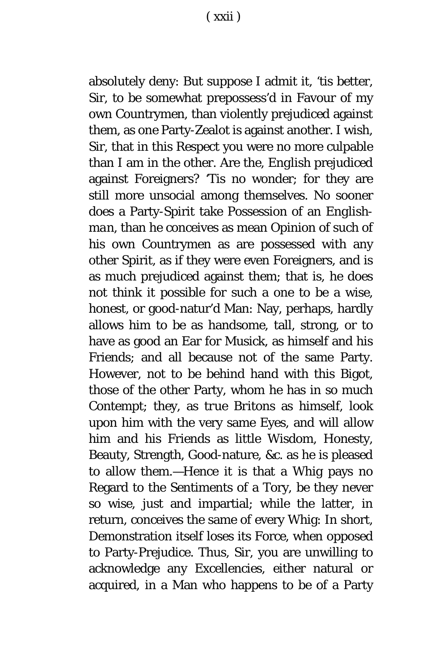absolutely deny: But suppose I admit it, 'tis better, Sir, to be somewhat prepossess'd in Favour of my own Countrymen, than violently prejudiced against them, as one Party-Zealot is against another. I wish, Sir, that in this Respect you were no more culpable than I am in the other. Are the, *English* prejudiced against Foreigners? 'Tis no wonder; for they are still more unsocial among themselves. No sooner does a Party-Spirit take Possession of an *Englishman,* than he conceives as mean Opinion of such of his own Countrymen as are possessed with any other Spirit, as if they were even Foreigners, and is as much prejudiced against them; that is, he does not think it possible for such a one to be a wise, honest, or good-natur'd Man: Nay, perhaps, hardly allows him to be as handsome, tall, strong, or to have as good an Ear for Musick, as himself and his Friends; and all because not of the same Party. However, not to be behind hand with this Bigot, those of the other Party, whom he has in so much Contempt; they, as *true Britons* as himself, look upon him with the very same Eyes, and will allow him and his Friends as little Wisdom, Honesty, Beauty, Strength, Good-nature, *&c.* as he is pleased to allow them.—Hence it is that a Whig pays no Regard to the Sentiments of a Tory, be they never so wise, just and impartial; while the latter, in return, conceives the same of every Whig: In short, Demonstration itself loses its Force, when opposed to Party-Prejudice. Thus, Sir, you are unwilling to acknowledge any Excellencies, either natural or acquired, in a Man who happens to be of a Party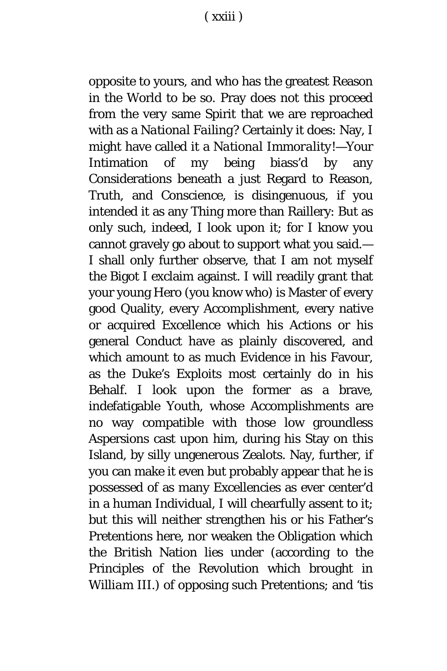opposite to yours, and who has the greatest Reason in the World to be so. Pray does not this proceed from the very same Spirit that we are reproached with as a *National Failing?* Certainly it does: Nay, I might have called it a *National Immorality!*—Your Intimation of my being biass'd by any Considerations beneath a just Regard to Reason, Truth, and Conscience, is disingenuous, if you intended it as any Thing more than Raillery: But as only such, indeed, I look upon it; for I know you cannot gravely go about to support what you said.— I shall only further observe, that I am not myself the Bigot I exclaim against. I will readily grant that your young *H*ero (you know who) is Master of every good Quality, every Accomplishment, every native or acquired Excellence which his Actions or his general Conduct have as plainly discovered, and which amount to as much Evidence in his Favour, as the Duke's Exploits most certainly do in his Behalf. I look upon the former as a brave, indefatigable Youth, whose Accomplishments are no way compatible with those low groundless Aspersions cast upon him, during his Stay on this Island, by silly ungenerous Zealots. Nay, further, if you can make it even but probably appear that he is possessed of as many Excellencies as ever center'd in a human Individual, I will chearfully assent to it; but this will neither strengthen his or his Father's Pretentions here, nor weaken the Obligation which the *British* Nation lies under (according to the Principles of the Revolution which brought in *William* III.) of opposing such Pretentions; and 'tis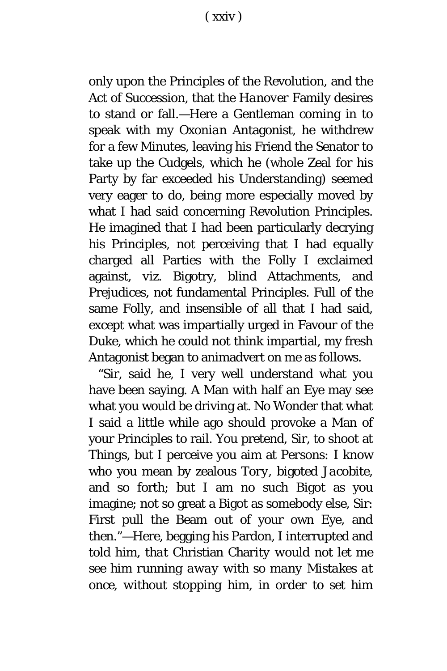only upon the Principles of the Revolution, and the Act of Succession, that the *Hanover* Family desires to stand or fall.—Here a Gentleman coming in to speak with my *Oxonian* Antagonist, he withdrew for a few Minutes, leaving his Friend the Senator to take up the Cudgels, which he (whole Zeal for his Party by far exceeded his Understanding) seemed very eager to do, being more especially moved by what I had said concerning Revolution Principles. He imagined that I had been particularly decrying his Principles, not perceiving that I had equally charged all Parties with the Folly I exclaimed against, *viz.* Bigotry, blind Attachments, and Prejudices, not fundamental Principles. Full of the same Folly, and insensible of all that I had said, except what was impartially urged in Favour of the Duke, which he could not think impartial, my fresh Antagonist began to animadvert on me as follows.

"Sir, said he, I very well understand what you have been saying. A Man with half an Eye may see what you would be driving at. No Wonder that what I said a little while ago should provoke a Man of your Principles to rail. You pretend, Sir, to shoot at *Things*, but I perceive you aim at *Per*so*ns:* I know who you mean by zealous *Tory,* bigoted *Jacobite,* and so forth; but I am no such Bigot as you imagine; not so great a Bigot as somebody else, Sir: First pull the Beam out of your own Eye, and then."—Here, begging his Pardon, I interrupted and told him, *that* Christian *Ch*a*rity would not let me see him running away with so many Mistakes at once*, *without stopping him, in order to set him*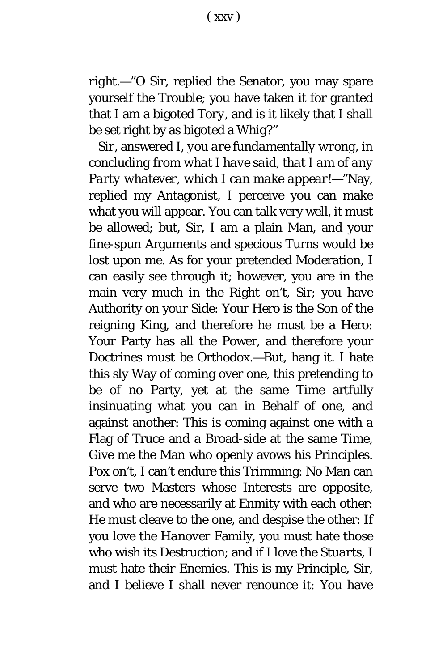( xxv )

*right*.—"O Sir, replied the Senator, you may spare yourself the Trouble; you have taken it for granted that I am a bigoted *Tory,* and is it likely that I shall be set right by as bigoted a *Whig*?"

*Sir,* answered I, *you are fundamentally wrong, in concluding from what I have said, that I am of any Party whatever, which I can make appear!*—"Nay, replied my Antagonist, I perceive you can make what you will appear. You can talk very well, it must be allowed; but, Sir, I am a plain Man, and your fine-spun Arguments and specious Turns would be lost upon me. As for your pretended Moderation, I can easily see through it; however, you are in the main very much in the Right on't, Sir; you have Authority on your Side: Your Hero is the Son of the reigning King, and therefore he must be a Hero: Your Party has all the Power, and therefore your Doctrines must be Orthodox.—But, hang it. I hate this sly Way of coming over one, this pretending to be of no Party, yet at the same Time artfully insinuating what you can in Behalf of one, and against another: This is coming against one with a Flag of Truce and a Broad-side at the same Time, Give me the Man who openly avows his Principles. Pox on't, I can't endure this Trimming: No Man can serve two Masters whose Interests are opposite, and who are necessarily at Enmity with each other: He must cleave to the one, and despise the other: If you love the *Hanover* Family, you must hate those who wish its Destruction; and if I love the *Stuarts*, I must hate their Enemies. This is my Principle, Sir, and I believe I shall never renounce it: You have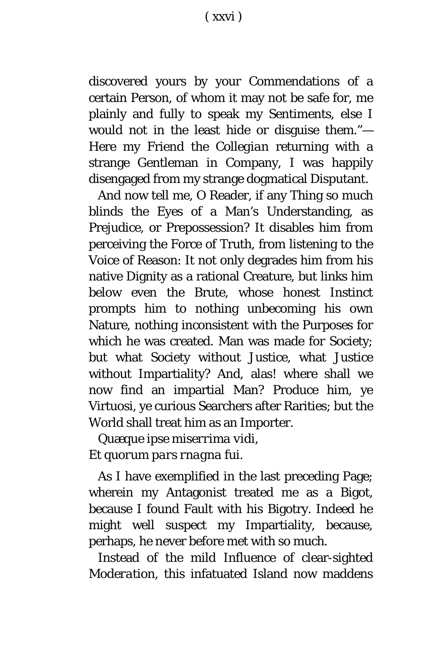discovered yours by your Commendations of a certain Person, of whom it may not be safe for, me plainly and fully to speak my Sentiments, else I would not in the least hide or disguise them."— Here my Friend the *Collegian* returning with a strange Gentleman in Company, I was happily disengaged from my strange dogmatical Disputant.

And now tell me, O Reader, if any Thing so much blinds the Eyes of a Man's Understanding, as Prejudice, or Prepossession? It disables him from perceiving the Force of Truth, from listening to the Voice of Reason: It not only degrades him from his native Dignity as a rational Creature, but links him below even the Brute, whose honest Instinct prompts him to nothing unbecoming his own Nature, nothing inconsistent with the Purposes for which he was created. Man was made for Society; but what Society without Justice, what Justice without Impartiality? And, alas! where shall we now find an impartial Man? Produce him, ye Virtuosi, ye curious Searchers after Rarities; but the World shall treat him as an Importer.

*Quæque ipse miserrima vidi, Et quorum pars rnagna fui.*

As I have exemplified in the last preceding Page; wherein my Antagonist treated me as a Bigot, because I found Fault with his Bigotry. Indeed he might well suspect my Impartiality, because, perhaps, he never before met with so much.

Instead of the mild Influence of clear-sighted *Moderation*, this infatuated Island now maddens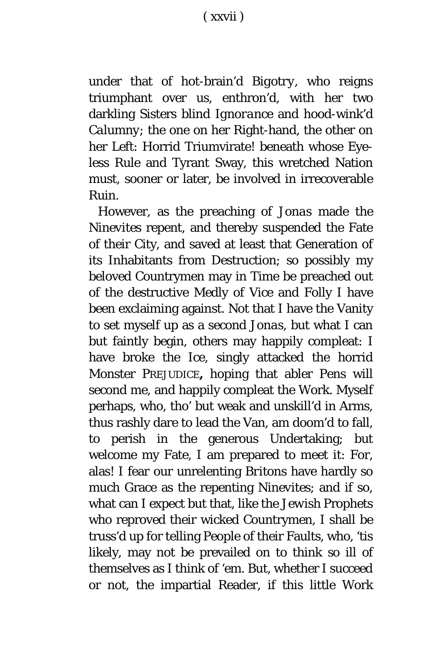under that of hot-brain'd *Bigotry*, who reigns triumphant over us, enthron'd, with her two darkling Sisters blind *Ignorance* and hood-wink'd *Calumny*; the one on her Right-hand, the other on her Left: Horrid Triumvirate! beneath whose Eyeless Rule and Tyrant Sway, this wretched Nation must, sooner or later, be involved in irrecoverable Ruin.

However, as the preaching of *Jonas* made the *Ninevites* repent, and thereby suspended the Fate of their City, and saved at least that Generation of its Inhabitants from Destruction; so possibly my beloved Countrymen may in Time be preached out of the destructive Medly of Vice and Folly I have been exclaiming against. Not that I have the Vanity to set myself up as a second *Jonas,* but what I can but faintly begin, others may happily compleat: I have broke the Ice, singly attacked the horrid Monster PREJUDICE**,** hoping that abler Pens will second me, and happily compleat the Work. Myself perhaps, who, tho' but weak and unskill'd in Arms, thus rashly dare to lead the Van, am doom'd to fall, to perish in the generous Undertaking; but welcome my Fate, I am prepared to meet it: For, alas! I fear our unrelenting *Britons* have hardly so much Grace as the repenting *Ninevites*; and if so, what can I expect but that, like the *Jewish* Prophets who reproved their wicked Countrymen, I shall be truss'd up for telling People of their Faults, who, 'tis likely, may not be prevailed on to think so ill of themselves as I think of 'em. But, whether I succeed or not, the impartial Reader, if this little Work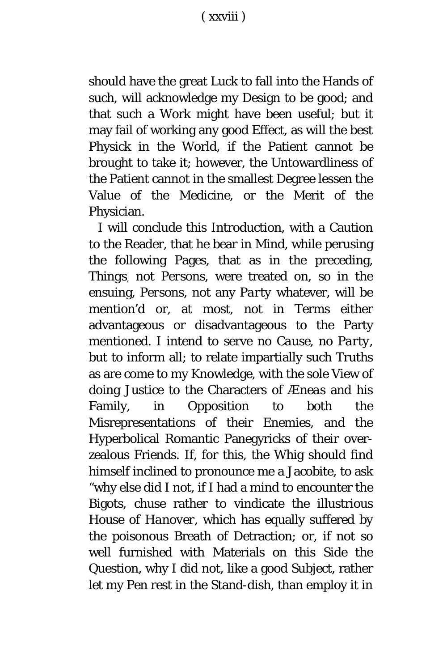should have the great Luck to fall into the Hands of such, will acknowledge my Design to be good; and that such a Work might have been useful; but it may fail of working any good Effect, as will the best Physick in the World, if the Patient cannot be brought to take it; however, the Untowardliness of the Patient *c*annot in the smallest Degree lessen the Value of the Medicine, or the Merit of the Physician.

I will conclude this Introduction, with a Caution to the Reader, that he bear in Mind, while perusing the following Pages, that as in the preceding, *Things*, not *Persons*, were treated on, so in the ensuing, *Persons*, not any *Party* whatever, will be mention'd or, at most, not in Terms either advantageous or disadvantageous to the Party mentioned. I intend to serve no *Cause,* no *Party,* but to inform all; to relate impartially such Truths as are come to my Knowledge, with the sole View of doing Justice to the Characters of *Æneas* and his Family, in Opposition to both the Misrepresentations of their Enemies, and the Hyperbolical Romantic Panegyricks of their overzealous Friends. If, for this, the Whig should find himself inclined to pronounce me a Jacobite, to ask "why else did I not, if I had a mind to encounter the Bigots, chuse rather to vindicate the illustrious House of *Hanover,* which has equally suffered by the poisonous Breath of Detraction; or, if not so well furnished with Materials on this Side the Question, why I did not, like a good Subject, rather let my Pen rest in the Stand-dish, than employ it in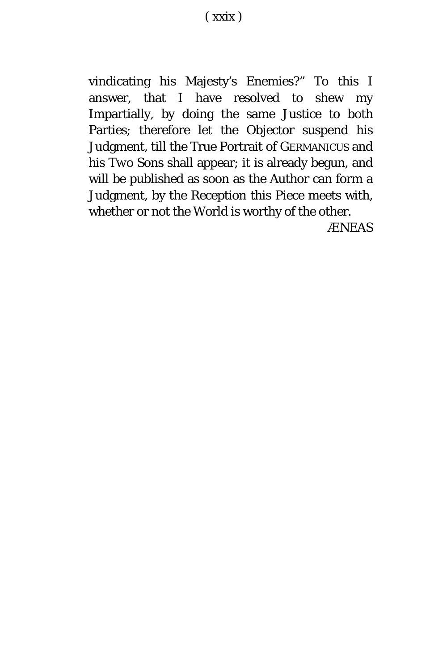vindicating his Majesty's Enemies?" To this I answer, that I have resolved to shew my Impartially, by doing the same Justice to both Parties; therefore let the Objector suspend his Judgment, till the True Portrait of GERMANICUS and *his Two Sons* shall appear; it is already begun, and will be published as soon as the Author can form a Judgment, by the Reception this Piece meets with, whether or not the World is worthy of the other.

*ÆNEAS*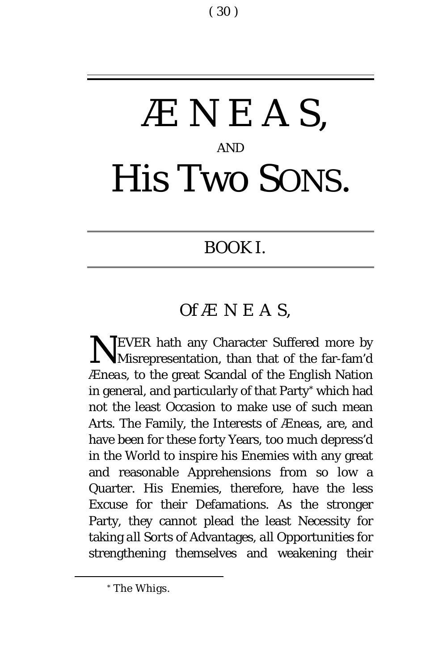# *ÆNEA S,* AND His Two SONS.

### BOOK I.

### *Of ÆNEA S,*

EVER hath any Character Suffered more by NEVER hath any Character Suffered more by Misrepresentation, than that of the far-fam'd *Æneas,* to the great Scandal of the *English* Nation in general, and particularly of that Party[\\*](#page-30-0) which had not the least Occasion to make use of such mean Arts. The Family, the Interests of *Æneas,* are, and have been for these forty Years, too much depress'd in the World to inspire his Enemies with any great and reasonable Apprehensions from so low a Quarter. His Enemies, therefore, have the less Excuse for their Defamations. As the stronger Party, they cannot plead the least Necessity for taking *all Sorts* of Advantages, *all* Opportunities for strengthening themselves and weakening their

<span id="page-30-0"></span>Ĩ.

<sup>\*</sup> The Whigs.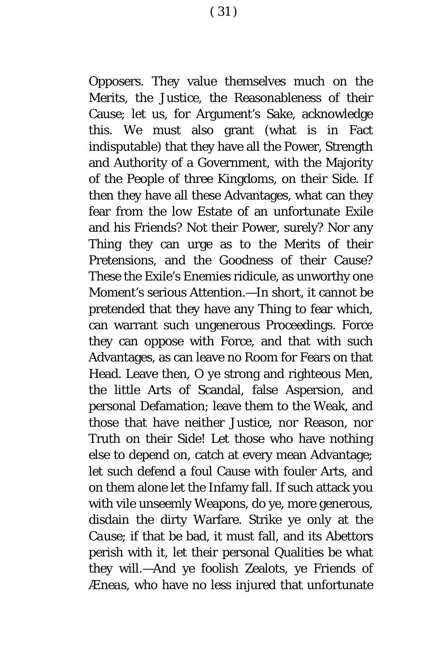Opposers. They value themselves much on the Merits, the Justice, the Reasonableness of their Cause; let us, for Argument's Sake, acknowledge this. We must also grant (what is in Fact indisputable) that they have all the Power, Strength and Authority of a Government, with the Majority of the People of three Kingdoms, on their Side. If then they have all these Advantages, what can they fear from the low Estate of an unfortunate Exile and his Friends? Not their Power, surely? Nor any Thing they can urge as to the Merits of their Pretensions, and the Goodness of their Cause? These the Exile's Enemies ridicule, as unworthy one Moment's serious Attention.—In short, it cannot be pretended that they have any Thing to fear which, can warrant such ungenerous Proceedings. Force they can oppose with Force, and that with such Advantages, as can leave no Room for Fears on that Head. Leave then, O ye strong and righteous Men, the little Arts of Scandal, false Aspersion, and personal Defamation; leave them to the Weak, and those that have neither Justice, nor Reason, nor Truth on their Side! Let those who have nothing else to depend on, catch at every mean Advantage; let such defend a foul Cause with fouler Arts, and on them alone let the Infamy fall. If such attack you with vile unseemly Weapons, do ye, more generous, disdain the dirty Warfare. Strike ye only at the *Cause*; if that be bad, it must fall, and its Abettors perish with it, let their personal Qualities be what they will.—And ye foolish Zealots, ye Friends of *Æneas,* who have no less injured that unfortunate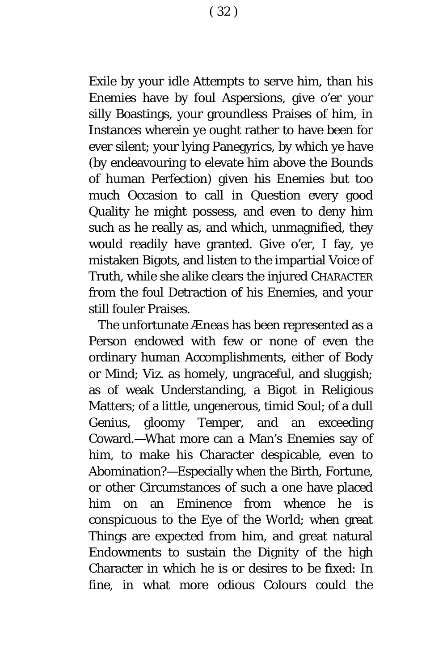Exile by your idle Attempts to serve him, than his Enemies have by foul Aspersions, give o'er your silly Boastings, your groundless Praises of him, in Instances wherein ye ought rather to have been for ever silent; your lying Panegyrics, by which ye have (by endeavouring to elevate him above the Bounds of human Perfection) given his Enemies but too much Occasion to call in Question every good Quality he might possess, and even to deny him such as he really as, and which, unmagnified, they would readily have granted. Give o'er, I fay, ye mistaken Bigots, and listen to the impartial Voice of Truth, while she alike clears the injured CHARACTER from the foul Detraction of his Enemies, and your still fouler Praises.

The unfortunate *Æneas* has been represented as a Person endowed with few or none of even the ordinary human Accomplishments, either of Body or Mind; *Viz.* as homely, ungraceful, and sluggish; as of weak Understanding, a Bigot in Religious Matters; of a little, ungenerous, timid Soul; of a dull Genius, gloomy Temper, and an exceeding Coward.—What more can a Man's Enemies say of him, to make his Character despicable, even to Abomination?—Especially when the Birth, Fortune, or other Circumstances of such a one have placed him on an Eminence from whence he is conspicuous to the Eye of the World; when great Things are expected from him, and great natural Endowments to sustain the Dignity of the high Character in which he is or desires to be fixed: In fine, in what more odious Colours could the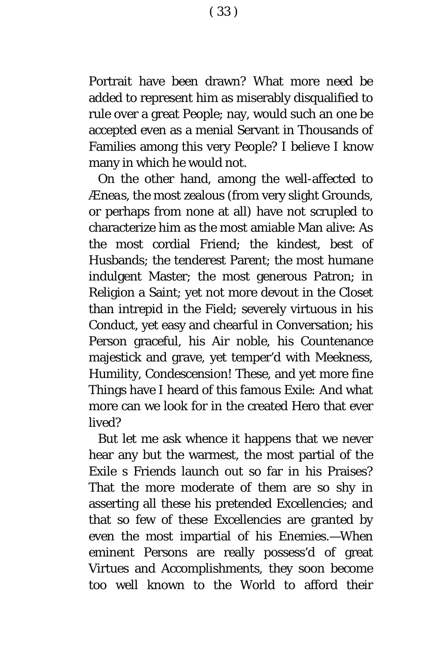Portrait have been drawn? What more need be added to represent him as miserably disqualified to rule over a great People; nay, would such an one be accepted even as a menial Servant in Thousands of Families among this very People? I believe I know many in which he would not.

On the other hand, among the well-affected to *Æneas,* the most zealous (from very slight Grounds, or perhaps from none at all) have not scrupled to characterize him as the most amiable Man alive: As the most cordial Friend; the kindest, best of Husbands; the tenderest Parent; the most humane indulgent Master; the most generous Patron; in Religion a Saint; yet not more devout in the Closet than intrepid in the Field; severely virtuous in his Conduct, yet easy and chearful in Conversation; his Person graceful, his Air noble, his Countenance majestick and grave, yet temper'd with Meekness, Humility, Condescension! These, and yet more fine Things have I heard of this famous *Exile:* And what more can we look for in the created Hero that ever lived?

But let me ask whence it happens that we never hear any but the warmest, the most partial of the *Exile* s Friends launch out so far in his Praises? That the more moderate of them are so shy in asserting all these his pretended Excellencies; and that so few of these Excellencies are granted by even the most impartial of his Enemies.—When eminent Persons are really possess'd of great Virtues and Accomplishments, they soon become too well known to the World to afford their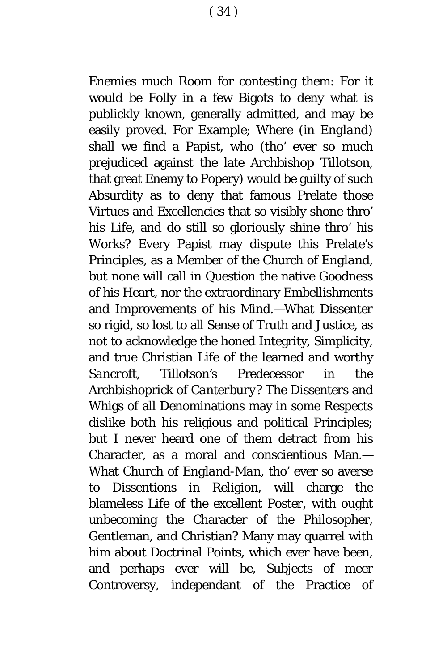Enemies much Room for contesting them: For it would be Folly in a few Bigots to deny what is publickly known, generally admitted, and may be easily proved. For Example; Where (in *England*) shall we find a Papist, who (tho' ever so much prejudiced against the late Archbishop *Tillotson,* that great Enemy to Popery) would be guilty of such Absurdity as to deny that famous Prelate those Virtues and Excellencies that so visibly shone thro' his Life, and do still so gloriously shine thro' his Works? Every Papist may dispute this Prelate's Principles, as a Member of the Church of *England,* but none will call in Question the native Goodness of his Heart, nor the extraordinary Embellishments and Improvements of his Mind.—What *Dissenter so* rigid, so lost to all Sense of Truth and Justice, as not to acknowledge the honed Integrity, Simplicity, and true Christian Life of the learned and worthy *Sancroft, Tillotson's* Predecessor in the Archbishoprick of *Canterbury?* The *Dissenters* and Whigs of all Denominations may in some Respects dislike both his religious and political Principles; but I never heard one of them detract from his Character, as a moral and conscientious Man.— What Church of *England-Man,* tho' ever so averse to Dissentions in Religion, will charge the blameless Life of the excellent *Poster,* with ought unbecoming the Character of the Philosopher, Gentleman, and Christian? Many may quarrel with him about Doctrinal Points, which ever have been, and perhaps ever will be, Subjects of meer Controversy, independant of the Practice of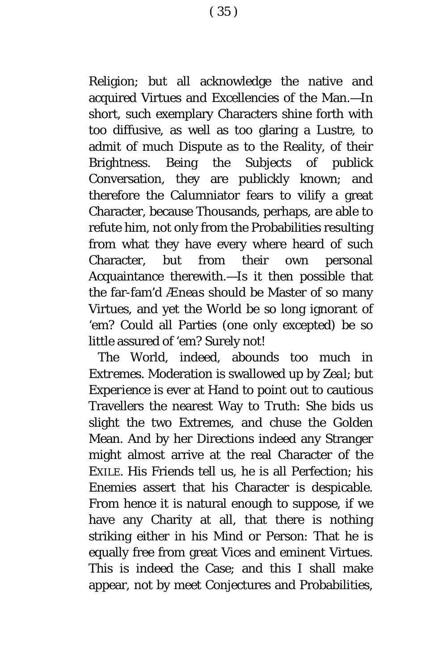Religion; but all acknowledge the native and acquired Virtues and Excellencies of the Man.—In short, such exemplary Characters shine forth with too diffusive, as well as too glaring a Lustre, to admit of much Dispute as to the Reality, of their Brightness. Being the Subjects of publick Conversation, they are publickly known; and therefore the Calumniator fears to vilify a great Character, because Thousands, perhaps, are able to refute him, not only from the Probabilities resulting from what they have every where heard of such Character, but from their own personal Acquaintance therewith.—Is it then possible that the far-fam'd *Æneas* should be Master of so many Virtues, and yet the World be so long ignorant of 'em? Could all Parties (one only excepted) be so little assured of 'em? Surely not!

The World, indeed, abounds too much in *Extremes.* Moderation is swallowed up by *Zeal*; but *Experience* is ever at Hand to point out to cautious Travellers the nearest Way to Truth: She bids us slight the two Extremes, and chuse the Golden Mean. And by her Directions indeed any Stranger might almost arrive at the real Character of the EXILE. His Friends tell us, he is all Perfection; his Enemies assert that his Character is despicable. From hence it is natural enough to suppose, if we have any Charity at all, that there is nothing striking either in his Mind or Person: That he is equally free from great Vices and eminent Virtues. This is indeed the Case; and this I shall make appear, not by meet Conjectures and Probabilities,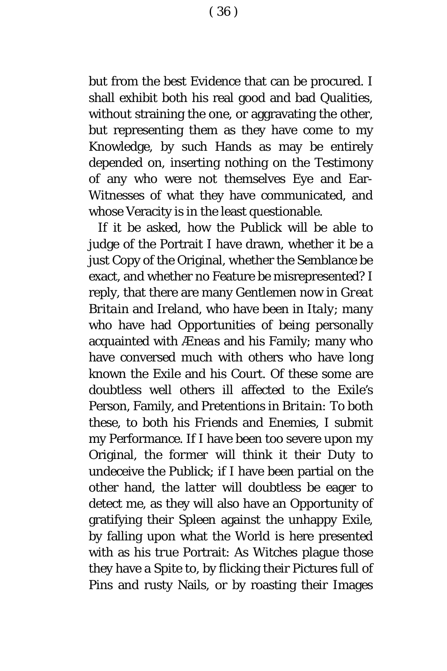( 36 )

but from the best Evidence that can be procured. I shall exhibit both his real good and bad Qualities, without straining the one, or aggravating the other, but representing them as they have come to my Knowledge, by such Hands as may be entirely depended on, inserting nothing on the Testimony of any who were not themselves Eye and Ear-Witnesses of what they have communicated, and whose Veracity is in the least questionable.

If it be asked, how the Publick will be able to judge of the Portrait I have drawn, whether it be a just Copy of the Original, whether the Semblance be exact, and whether no Feature be misrepresented? I reply, that there are many Gentlemen now in *Great Britain* and *Ireland,* who have been in *Italy*; many who have had Opportunities of being personally acquainted with *Æneas* and his Family; many who have conversed much with others who have long known the *Exile* and his Court. Of these some are doubtless well others ill affected to the *Exile's* Person, Family, and Pretentions in *Britain:* To both these, to both his *Friends* and *Enemies*, I submit my Performance. If I have been too severe upon my Original, the *former* will think it their Duty to undeceive the Publick; if I have been partial on the other hand, the *latter* will doubtless be eager to detect me, as they will also have an Opportunity of gratifying their Spleen against the unhappy *Exile*, by falling upon what the World is here presented with as his *true* Portrait: As Witches plague those they have a Spite to, by flicking their Pictures full of Pins and rusty Nails, or by roasting their Images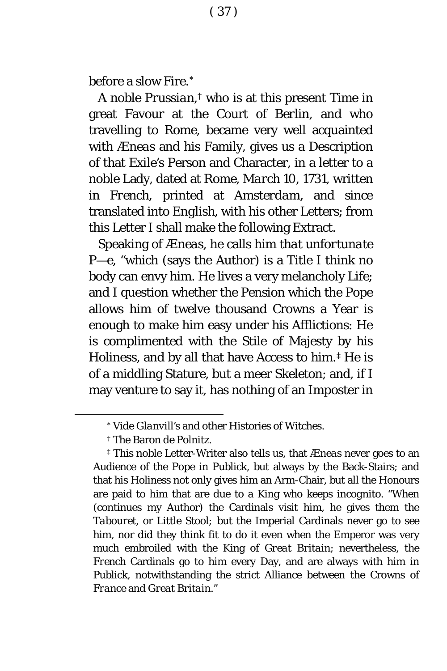before a slow Fire.[\\*](#page-37-0)

A noble *Prussian,[†](#page-37-1)* who is at this present Time in great Favour at the Court of *Berlin*, and who travelling to *Rome*, became very well acquainted with *Æneas* and his Family, gives us a Description of that *Exile's* Person and Character, in a letter to a noble Lady, dated at *Rome, March* 10, 1731, written in *French,* printed at *Amsterdam,* and since translated into *English*, with his other Letters; from this Letter I shall make the following Extract.

Speaking of *Æneas*, he calls him *that unfortunate P*—*e,* "which (says the Author) is a Title I think no body can envy him. He lives a very melancholy Life; and I question whether the Pension which the Pope allows him of twelve thousand Crowns a Year is enough to make him easy under his Afflictions: He is complimented with the Stile of Majesty by his Holiness, and by all that have Access to him.[‡](#page-37-2) He is of a middling Stature, but a meer Skeleton; and, if I may venture to say it, has nothing of an Imposter in

<sup>\*</sup> Vide *Glanvill's* and other Histories *of* Witches.

<sup>†</sup> The Baron *de Polnitz.*

<span id="page-37-2"></span><span id="page-37-1"></span><span id="page-37-0"></span><sup>‡</sup> This noble Letter-Writer also tells us, that *Æneas* never goes to an Audience of the Pope in Publick, but always by the Back-Stairs; and that his Holiness not only gives him an Arm-Chair, but all the Honours are paid to him that are due to a King who keeps *incognito*. "When (c*o*ntinues my Author) the Cardinals visit him, he gives them the *Tabouret,* or *Little Stool;* but the Imperial Cardinals never go to see him, nor did they think fit to do it even when the Emperor was very much embroiled with the King of *Great Britain*; nevertheless, the *French* Cardinals go to him every Day, and are always with him in Publick, notwithstanding the strict Alliance between the Crowns *o*f *France* and *Great Britain."*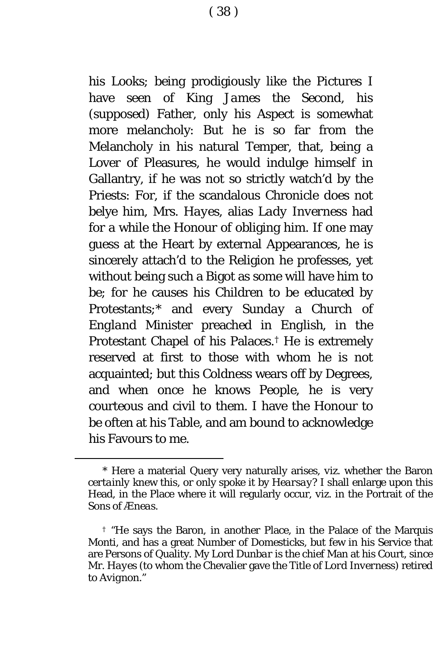his Looks; being prodigiously like the Pictures I have seen of King *James the Second,* his (supposed) Father, only his Aspect is somewhat more melancholy: But he is so far from the Melancholy in his natural Temper, that, being a Lover of Pleasures, he would indulge himself in Gallantry, if he was not so strictly watch'd by the Priests: For, if the scandalous Chronicle does not belye him, Mrs. *Hayes*, alias *Lady Inverness* had for a while the Honour of obliging him. If one may guess at the Heart by external Appearances, he is sincerely attach'd to the Religion he professes, yet without being such a Bigot as some will have him to be; for he causes his Children to be educated by Protestants;[\\*](#page-38-0) and every *Sunday* a Church of *England* Minister preached in *English,* in the Protestant Chapel of his Palaces.[†](#page-38-1) He is extremely reserved at first to those with whom he is not acquainted; but this Coldness wears off by Degrees, and when once he knows People, he is very courteous and civil to them. I have the Honour to be often at his Table, and am bound to acknowledge his Favours to me.

<span id="page-38-0"></span><sup>\*</sup> Here a material Query very naturally arises, *viz.* whether the Baron *certainly* knew this, *o*r *o*nly spoke it by *Hearsay?* I shall enlarge upon this Head, in the Place where it will regularly occur, *viz.* in the P*o*rtrait *o*f the S*o*ns of *Æneas.*

<span id="page-38-1"></span><sup>†</sup> "He says the Baron, in another Place, in the Palace of the Marquis *Monti,* and has a great Number of Domesticks, but few in his Service that are Persons of Quality. My L*o*rd *Dunbar* is the chief Man at his C*o*urt, since Mr. *Hayes* (to whom the Chevalier gave the Title of *Lord Inverness)* retired t*o Avignon*."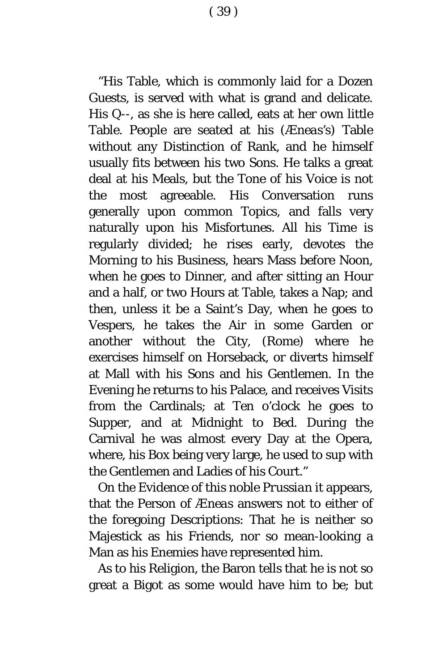"His Table, which is commonly laid for a Dozen Guests, is served with what is grand and delicate. His Q--, as she is here called, eats at her own little Table. People are seated at his *(Æneas's)* Table without any Distinction of Rank, and he himself usually fits between his two Sons. He talks a great deal at his Meals, but the Tone of his Voice is not the most agreeable. His Conversation runs generally upon common Topics, and falls very naturally upon his Misfortunes. All his Time is regularly divided; he rises early, devotes the Morning to his Business, hears Mass before Noon, when he goes to Dinner, and after sitting an Hour and a half, or two Hours at Table, takes a Nap; and then, unless it be a Saint's Day, when he goes to Vespers, he takes the Air in some Garden or another without the City, *(Rome)* where he exercises himself on Horseback, or diverts himself at Mall with his Sons and his Gentlemen. In the Evening he returns to his Palace, and receives Visits from the Cardinals; at Ten o'clock he goes to Supper, and at Midnight to Bed. During the Carnival he was almost every Day at the Opera, where, his Box being very large, he used to sup with the Gentlemen and Ladies of his Court."

On the Evidence of this noble *Prussian* it appears, that the Person of *Æneas* answers not to either of the foregoing Descriptions: That he is neither so Majestick as his Friends, nor so mean-looking a Man as his Enemies have represented him.

As to his Religion, the Baron tells that he is not so great a Bigot as some would have him to be; but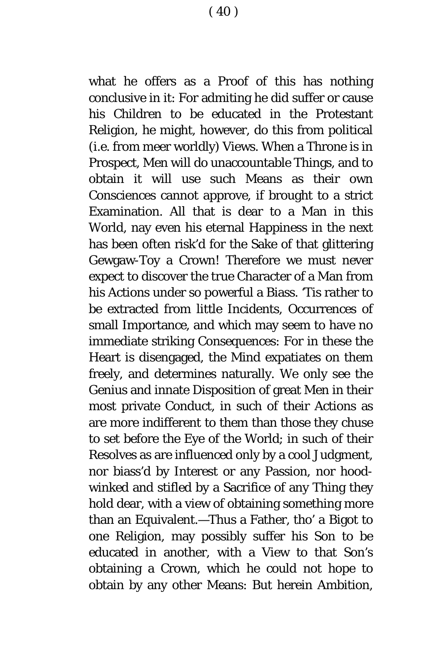what he offers as a Proof of this has nothing conclusive in it: For admiting he did suffer or cause his Children to be educated in the Protestant Religion, he might, however, do this from political (*i*.*e.* from meer worldly) Views. When a Throne is in Prospect, Men will do unaccountable Things, and to obtain it will use such Means as their own Consciences cannot approve, if brought to a strict Examination. All that is dear to a Man in this World, nay even his eternal Happiness in the next has been often risk'd for the Sake of that glittering Gewgaw-Toy a Crown! Therefore we must never expect to discover the true Character of a Man from his Actions under so powerful a Biass. 'Tis rather to be extracted from little Incidents, Occurrences of small Importance, and which may seem to have no immediate striking Consequences: For in these the Heart is disengaged, the Mind expatiates on them freely, and determines naturally. We only see the Genius and innate Disposition of great Men in their most private Conduct, in such of their Actions as are more indifferent to them than those they chuse to set before the Eye of the World; in such of their Resolves as are influenced only by a cool Judgment, nor biass'd by Interest or any Passion, nor hoodwinked and stifled by a Sacrifice of any Thing they hold dear, with a view of obtaining something more than an Equivalent.—Thus a Father, tho' a Bigot to one Religion, may possibly suffer his Son to be educated in another, with a View to that Son's obtaining a Crown, which he could not hope to obtain by any other Means: But herein Ambition,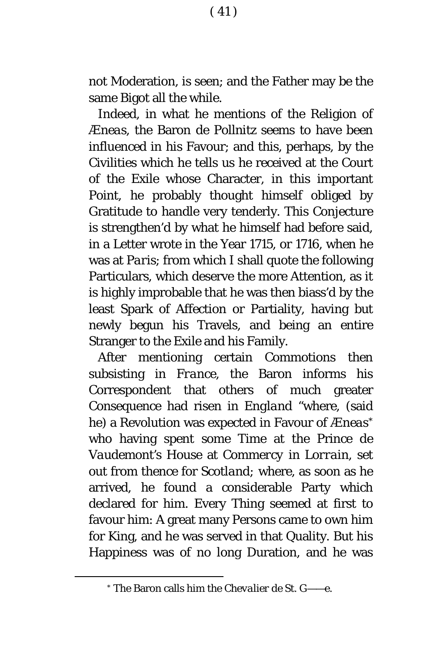not Moderation, is seen; and the Father may be the same Bigot all the while.

Indeed, in what he mentions of the Religion of *Æneas*, the Baron *de Pollnitz* seems to have been influenced in his Favour; and this, perhaps, by the Civilities which he tells us he received at the Court of the *Exile* whose Character, in this important Point, he probably thought himself obliged by Gratitude to handle very tenderly. This Conjecture is strengthen'd by what he himself had before said, in a Letter wrote in the Year 1715, or 1716, when he was at *Paris*; from which I shall quote the following Particulars, which deserve the more Attention, as it is highly improbable that he was then biass'd by the least Spark of Affection or Partiality, having but newly begun his Travels, and being an entire Stranger to the *Exile* and his Family.

After mentioning certain Commotions then subsisting in *France*, the Baron informs his Correspondent that others of much greater Consequence had risen in *England "*where, (said he) a Revolution was expected in Favour of *Æneas[\\*](#page-41-0)* who having spent some Time at the Prince *de Vaudemont's* House at *Commercy in Lorrain,* set out from thence for *Scotland;* where, as soon as he arrived, he found a considerable Party which declared for him. Every Thing seemed at first to favour him: A great many Persons came to own him for King, and he was served in that Quality. But his Happiness was of no long Duration, and he was

<span id="page-41-0"></span><sup>\*</sup> The Baron calls him the *Chevalier de St. G——e.*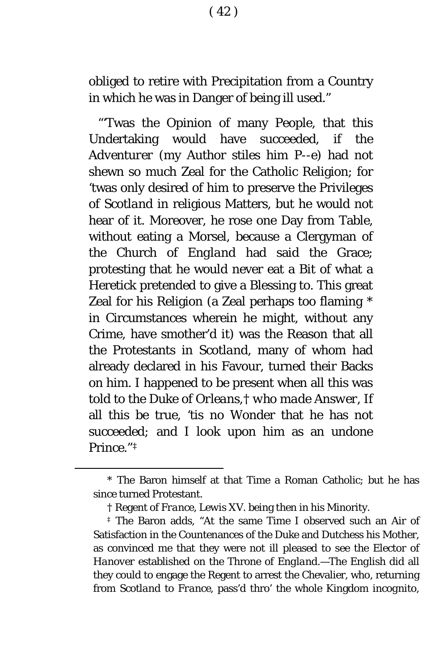obliged to retire with Precipitation from a Country in which he was in Danger of being ill used."

"'Twas the Opinion of many People, that this Undertaking would have succeeded, if the *Adventurer* (my Author stiles him *P--e)* had not shewn so much Zeal for the Catholic Religion; for 'twas only desired of him to preserve the Privileges of *Scotland* in religious Matters, but he would not hear of it. Moreover, he rose one Day from Table, without eating a Morsel, because a Clergyman of the Church of *England* had said the Grace; protesting that he would never eat a Bit of what a Heretick pretended to give a Blessing to. This great Zeal for his Religion (a Zeal perhaps too flaming [\\*](#page-42-0) in Circumstances wherein he might, without any Crime, have smother'd it) was the Reason that all the Protestants in *Scotland*, many of whom had already declared in his Favour, turned their Backs on him. I happened to be present when all this was told to the Duke of *Orleans*,[†](#page-42-1) *who made Answer,* If all this be true*,* 'tis no Wonder that he has not succeeded*;* and I look upon him as an undone Prince."[‡](#page-42-2)

<span id="page-42-0"></span><sup>\*</sup> The Baron himself at that Time a Roman Catholic; but he has since turned Protestant.

<sup>†</sup> Regent of *France*, *Lewis XV.* being then in his Minority.

<span id="page-42-2"></span><span id="page-42-1"></span><sup>‡</sup> The Baron adds, "At the same Time I observed such an Air of Satisfaction in the Countenances of the Duke and Dutchess his Mother, as convinced me that they were not ill pleased to see the Elector of *Hanover* established on the Throne of *England*.—The *English* did all they could to engage the Regent to arrest the Chevalier, who, returning from *Scotland* to *France*, pass'd thro' the whole Kingdom *incognito*,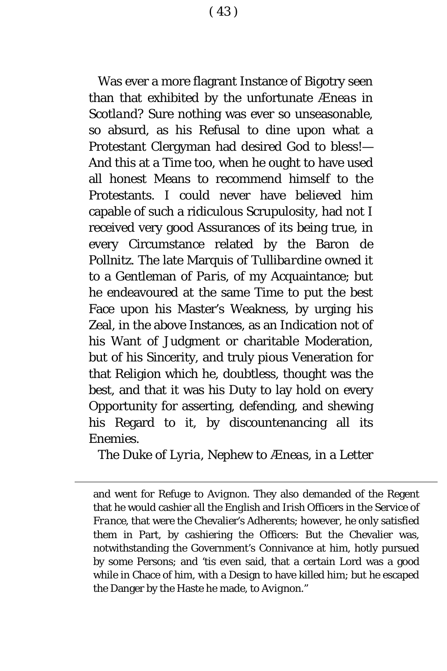( 43 )

Was ever a more flagrant Instance of Bigotry seen than that exhibited by the unfortunate *Æneas* in *Scotland?* Sure nothing was ever so unseasonable, so absurd, as his Refusal to dine upon what a Protestant Clergyman had desired God to bless!— And this at a Time too, when he ought to have used all honest Means to recommend himself to the Protestants. I could never have believed him capable of such a ridiculous Scrupulosity, had not I received very good Assurances of its being true, in every Circumstance related by the Baron *de Pollnitz.* The late Marquis of *Tullibardine* owned it to a Gentleman of *Paris,* of my Acquaintance; but he endeavoured at the same Time to put the best Face upon his Master's Weakness, by urging his Zeal, in the above Instances, as an Indication not of his Want of Judgment or charitable Moderation, but of his Sincerity, and truly pious Veneration for that Religion which he, doubtless, thought was the best, and that it was his Duty to lay hold on every Opportunity for asserting, defending, and shewing his Regard to it, by discountenancing all its Enemies.

The Duke of *Lyria*, Nephew to *Æneas,* in a Letter

ī

and went for Refuge to *Avignon*. They also demanded of the Regent that he would cashier all the *English* and *Irish* Officers in the Service of *France*, that were the Chevalier's Adherents; however, he only satisfied them in Part, by cashiering the Officers: But the Chevalier was, notwithstanding the Government's Connivance at him, hotly pursued by some Persons; and 'tis even said, that a certain Lord was a good while in Chace of him, with a Design to have killed him; but he escaped the Danger by the Haste he made, to *Avignon.*"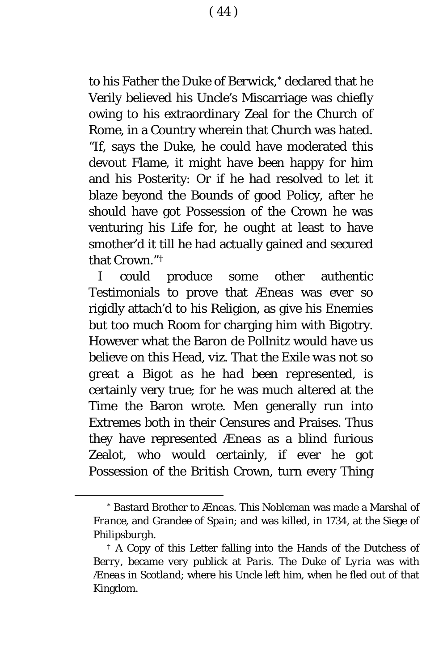( 44 )

to his Father the Duke of *Berwick,[\\*](#page-44-0)* declared that he Verily believed his Uncle's Miscarriage was chiefly owing to his extraordinary Zeal for the Church of *Rome,* in a Country wherein that Church was hated. "If, says the Duke, he could have moderated this devout Flame, it might have been happy for him and his Posterity: Or if he *had* resolved to let it blaze beyond the Bounds of good Policy, after he should have got Possession of the Crown he was venturing his Life for, he ought at least to have smother'd it till he *had* actually gained and secured that Crown."<sup>†</sup>

I could produce some other authentic Testimonials to prove that *Æneas* was ever s*o* rigidly attach'd to his Religion, as give his Enemies but too much Room for charging him with Bigotry. H*o*wever what the Baron *de Pollnitz* would have us believe on this Head, *viz. That the* Exile *was not so great a Bigot as he had been represented*, is certainly very true; for he was much altered at the Time the Baron wrote. Men generally run into Extremes both in their Censures and Praises. Thus they have represented *Æneas* as a blind furious Zealot, who would certainly, if ever he got Possessi*o*n of the *British* Crown, turn every Thing

<span id="page-44-0"></span><sup>\*</sup> Bastard Brother to *Æneas.* This Nobleman was made a Marshal of *France*, and Grandee of *Spain*; and was killed, in 1734, at the Siege of *Philipsburgh*.

<span id="page-44-1"></span><sup>†</sup> A Copy of this Letter falling into the Hands of the Dutchess of *Berry*, became very publick at *Paris*. The Duke of *Lyria* was with *Æneas* in *Scotland*; where his Uncle left him, when he fled out of that Kingdom.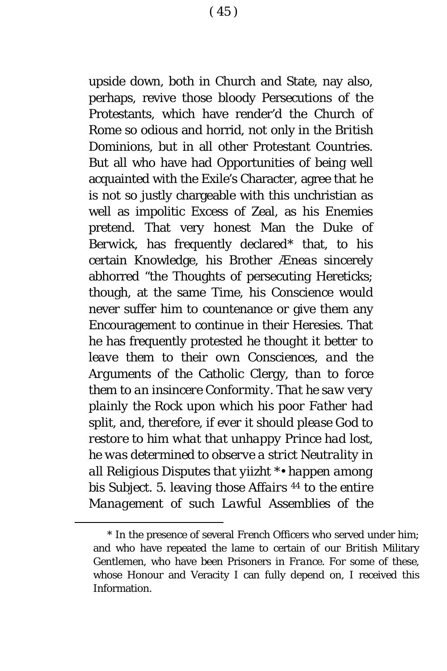upside down, both in Church and State, nay also, perhaps, revive those bloody Persecutions of the Protestants, which have render'd the Church of *Rome* so odious and horrid, not only in the *British* D*o*minions, but in all other Protestant Countries. But all who have had Opportunities of being well acquainted with the *Exile*'s Character, agree that he is not so justly chargeable with this unchristian as well as impolitic Excess of Zeal, as his Enemies pretend. That very honest Man the Duke of *Berwick,* has frequently declared[\\*](#page-45-0) that, to his certain Knowledge, his Brother *Æneas* sincerely abhorred "the Thoughts of persecuting Hereticks; though, at the same Time, his Conscience would never suffer him to countenance or give them any Encouragement to continue in their Heresies. That he has frequently protested *he thought it better to leave them to their own Consciences*, *and the Arguments of the* Cath*o*lic Clergy, *than to force them to an insincere Conformity. That he saw very plainly the Rock upon which his poor Father had split, and*, *therefore*, *if ever it should please* God *to restore to him what that unhappy Prince had lost*, *he was determined to observe a strict Neutrality in all Religious Disputes that yiizht* \*• *happen among bis Subject.* 5. *leaving those Affairs* <sup>44</sup> *to the entire Management of such Lawful Assemblies of the*

<span id="page-45-0"></span><sup>\*</sup> In the presence of several *French* Officers who served under him; and who have repeated the lame to certain of our *British* Military Gentlemen, who have been Prisoners in *France.* For some of these, whose Honour and Veracity I can fully depend on, I received this Information.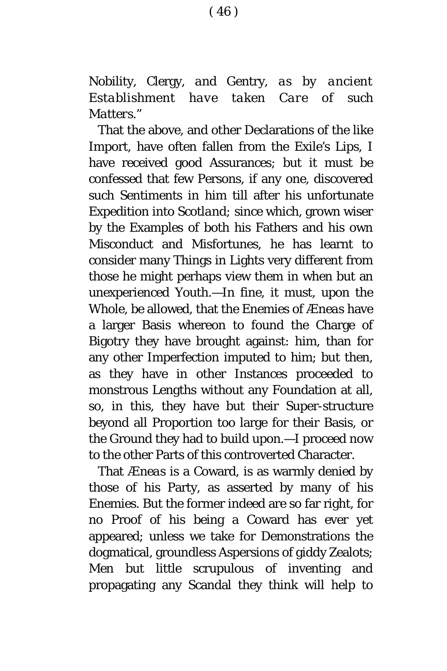( 46 )

Nobility, Clergy, *and* Gentry, *as by ancient Establishment have taken Care of such Matters*."

That the ab*o*ve, and other Declarati*o*ns of the like Import, have often fallen from the *Exile's* Lips, I have received good Assurances; but it must be confessed that few Persons, if any one, discovered such Sentiments in him till after his unfortunate Expedition into *Scotland;* since which, grown wiser by the Examples of both his Fathers and his own Misconduct and Misfortunes, he has learnt to consider many Things in Lights very different from those he might perhaps view them in when but an unexperienced Youth.—In fine, it must, upon the Whole, be allowed, that the Enemies of *Æneas* have a larger Basis whereon to found the Charge of Bigotry they have brought against: him, than for any other Imperfection imputed to him; but then, as they have in other Instances proceeded to monstrous Lengths without any Foundation at all, so, in this, they have but their Super-structure beyond all Proportion too large for their Basis, or the Ground they had to build upon.—I proceed now to the other Parts of this controverted Character.

That *Æneas* is a Coward, is as warmly denied by those of his Party, as asserted by many of his Enemies. But the former indeed are so far right, for no Proof of his being a Coward has ever yet appeared; unless we take for Demonstrati*o*ns the dogmatical, groundless Aspersions of giddy Zeal*o*ts; Men but little scrupulous of inventing and propagating any Scandal they think will help to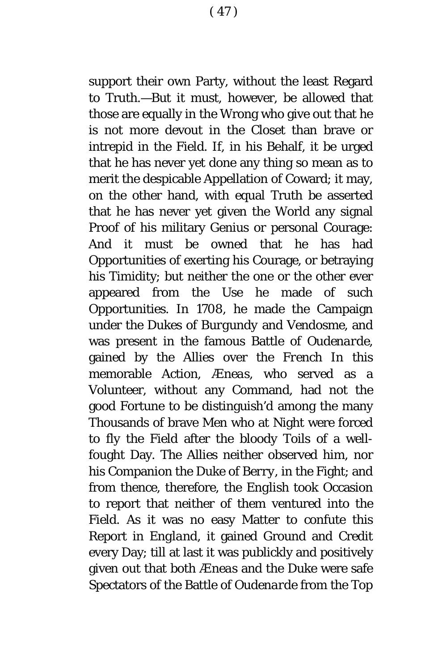supp*o*rt their own Party, without the least Regard to Truth.—But it must, h*o*wever, be allowed that those are equally in the Wrong who give out that he is not m*o*re devout in the Closet than brave or intrepid in the Field. If, in his Behalf, it be urged that he has never yet d*o*ne any thing so mean as to merit the despicable Appellation of Coward; it may, on the other hand, with equal Truth be asserted that he has never yet given the World any signal Proof of his military Genius or personal Courage: And it must be owned that he has had Opportunities of exerting his Courage, or betraying his Timidity; but neither the one or the other ever appeared from the Use he made of such Opportunities. In 1708, he made the Campaign under the Dukes of *Burgundy* and *Vendosme*, and was present in the famous Battle of *Oudenarde*, gained by the Allies over the *French* In this memorable Action, *Æneas,* who served as a Volunteer, without any Command, had not the good Fortune to be distinguish'd among the many Thousands of brave Men who at Night were forced to fly the Field after the bloody Toils of a wellfought Day. The Allies neither observed him, nor his Companion the Duke of *Berry*, in the Fight; and from thence, therefore, the *English* t*o*ok Occasion to report that neither of them ventured into the Field. As it was no easy Matter to confute this Rep*o*rt in *England,* it gained Ground and Credit every Day; till at last it was publickly and positively given out that both *Æneas* and the Duke were safe Spectators of the Battle of *Oudenarde* from the Top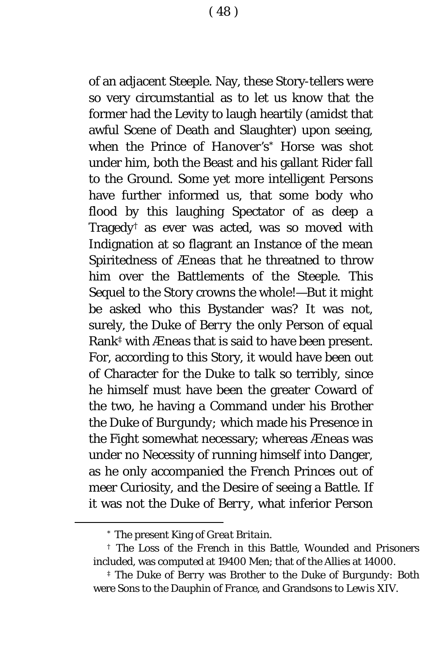of an adjacent Steeple. Nay, these Story-tellers were so very circumstantial as to let us know that the former had the Levity *to* laugh heartily (amidst that awful Scene of Death and Slaughter) upon seeing, when the Prince of *Hanover'*s[\\*](#page-48-0) Horse was shot under him, both the Beast and his gallant Rider fall to the Ground. Some yet more intelligent Persons have further informed us, that some body who flood by this laughing Spectator of as deep a Tragedy[†](#page-48-1) as ever was acted, was so moved with Indignation at so flagrant an Instance of the mean Spiritedness of *Æneas* that he threatned to throw him over the Battlements of the Steeple. This Sequel to the Story crowns the whole!—But it might be asked who this Bystander was? It was not, surely, the Duke of *Berry* the only Person of equal Rank[‡](#page-48-2) with *Æneas* that is said to have been present. For, according to this Story, it would have been out of Character for the Duke to talk so terribly, since he himself must have been the greater Coward of the two, he having a Command under his Brother the Duke of *Burgundy;* which made his Presence in the Fight somewhat necessary; whereas *Æneas* was under no Necessity of running himself into Danger, as he only accompanied the *French* Princes out of meer Curiosity, and the Desire of seeing a Battle. If it was not the Duke of *Berry*, what inferior Person

<sup>\*</sup> The present King of *Great Britain.*

<span id="page-48-1"></span><span id="page-48-0"></span><sup>†</sup> The Loss of the *French* in this Battle, Wounded and Prisoners included, was computed at 19400 Men; that of the Allies at 14000.

<span id="page-48-2"></span><sup>‡</sup> The Duke of *Berry* was Brother to the Duke of *Burgundy:* Both were Sons to the Dauphin of *France,* and Grandsons to *Lewis XIV.*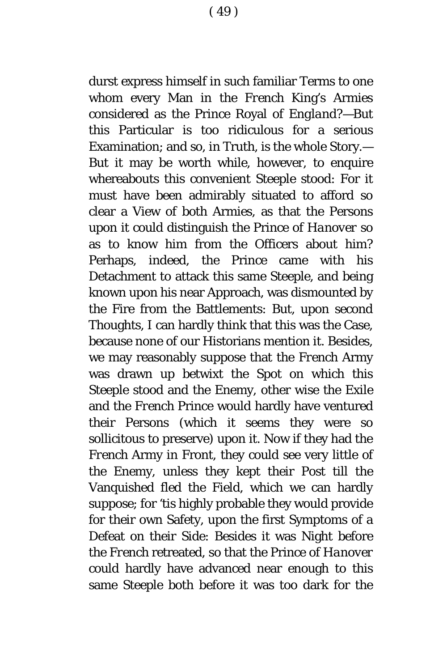durst express himself in such familiar Terms to one whom every Man in the *French* King's Armies considered as the Prince Royal of *England?*—But this Particular is too ridiculous for a serious Examination; and so, in Truth, is the whole Story.— But it may be worth while, however, to enquire whereabouts this convenient Steeple stood: For it must have been admirably situated to afford so clear a View of both Armies, as that the Persons upon it could distinguish the Prince of *Hanover* so as to know him from the Officers about him? Perhaps, indeed, the Prince came with his Detachment to attack this same Steeple, and being known upon his near Approach, was dismounted by the Fire from the Battlements: But, upon second Thoughts, I can hardly think that this was the Case, because none of our Historians mention it. Besides, we may reasonably suppose that the *French* Army was drawn up betwixt the Spot on which this Steeple stood and the Enemy, other wise the *Exile* and the *French* Prince would hardly have ventured their Persons (which it seems they were so sollicitous to preserve) upon it. Now if they had the *French* Army in Front, they could see very little of the Enemy, unless they kept their Post till the Vanquished fled the Field, which we can hardly suppose; for 'tis highly probable they would provide for their own Safety, upon the first Symptoms of a Defeat on their Side: Besides it was Night before the *French* retreated, so that the Prince of *Hanover*  could hardly have advanced near enough to this same Steeple both before it was too dark for the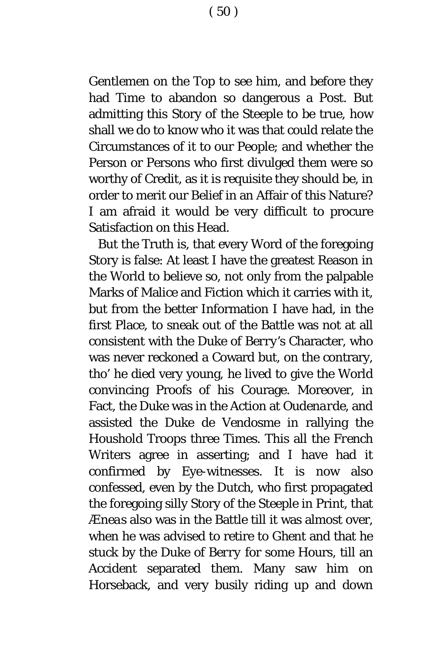( 50 )

Gentlemen on the Top to see him, and before they had Time to abandon so dangerous a Post. But admitting this Story of the Steeple to be true, how shall we do to know who it was that could relate the Circumstances of it to our People; and whether the Person or Persons who first divulged them were so worthy of Credit, as it is requisite they should be, in order to merit our Belief in an Affair of this Nature? I am afraid it would be very difficult to procure Satisfaction on this Head.

But the Truth is, that every Word of the foregoing Story is false: At least I have the greatest Reason in the World to believe so, not only from the palpable Marks of Malice and Fiction which it carries with it, but from the better Information I have had, in the first Place, to sneak out of the Battle was not at all consistent with the Duke of *Berry's* Character, who was never reckoned a Coward but, on the contrary, tho' he died very young, he lived to give the World convincing Proofs of his Courage. Moreover, in Fact, the Duke was in the Action at *Oudenarde,* and assisted the Duke *de Vendosme* in rallying the Houshold Troops three Times. This all the *French* Writers agree in asserting; and I have had it confirmed by Eye-witnesses. It is now also confessed, even by the *Dutch*, who first propagated the foregoing silly Story of the Steeple in Print, that *Æneas* also was in the Battle till it was almost over, when he was advised to retire to *Ghent* and that he stuck by the Duke of *Berry* for some Hours, till an Accident separated them. Many saw him on Horseback, and very busily riding up and down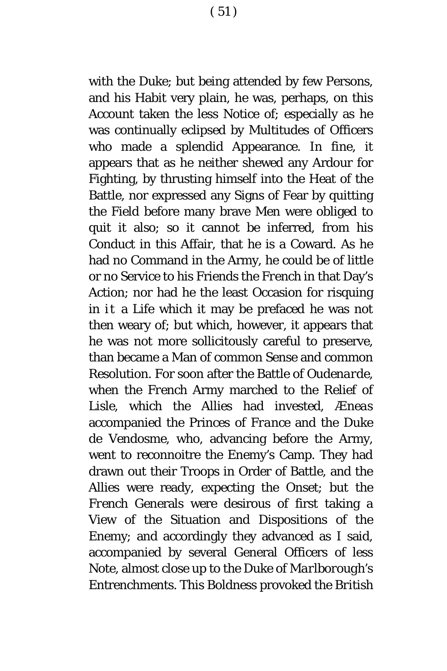with the Duke; but being attended by few Persons, and his Habit very plain, he was, perhaps, on this Account taken the less Notice of; especially as he was continually eclipsed by Multitudes of Officers who made a splendid Appearance. In fine, it appears that as he neither shewed any Ardour for Fighting, by thrusting himself into the Heat of the Battle, nor expressed any Signs of Fear by quitting the Field before many brave Men were obliged to quit it also; so it cannot be inferred, from his Conduct in this Affair, that he is a Coward. As he had no Command in the Army, he could be of little or no Service to his Friends the *French* in that Day's Action; nor had he the least Occasion for risquing in it a Life which it may be prefaced he was not then weary of; but which, however, it appears that he was not more sollicit*o*usly careful to preserve, than became a Man *o*f common Sense and c*o*mmon Resolution. For soon after the Battle of *Oudenarde,*  when the *French* Army marched to the Relief of *Lisle,* which the Allies had invested, *Æneas* accompanied the Princes of *France* and the Duke *de Vendosme,* who, advancing before the Army, went to reconnoitre the Enemy's Camp. They had drawn out their Troops in Order of Battle, and the Allies were ready, expecting the Onset; but the *French* Generals were desirous of first taking a View of the Situation and Dispositions of the Enemy; and accordingly they advanced as I said, accompanied by several General Officers of less Note, almost close up to the Duke of *Marlborough*'s Entrenchments. This Boldness provoked the *British*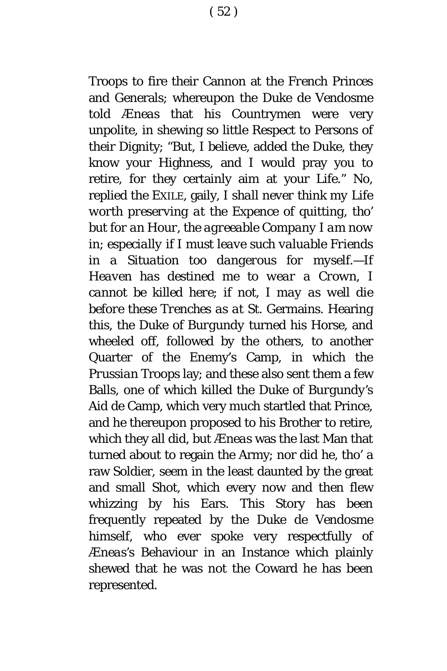Troops to fire their Cannon at the *French* Princes and Generals; whereupon the Duke *de Vendosme* told *Æneas* that his Countrymen were very unpolite, in shewing so little Respect to Persons of their Dignity; "But, I believe, added the Duke, they know your Highness, and I would pray you to retire, for they certainly aim at your Life." *No,* replied the EXILE, gaily, *I shall never think my Life worth preserving at the Expence of quitting, tho' but for an Hour, the agreeable Company I am now in*; *especially if I must leave such valuable Friends in a Situation too dangerous for myself.*—*If Heaven has destined me to wear a Crown, I cannot be killed here*; *if not*, *I may as well die before these Trenches as at* St. Germains*.* Hearing this, the Duke of *Burgundy* turned his Horse, and wheeled off, followed by the others, to another Quarter of the Enemy's Camp, in which the *Prussian* Troops lay; and these also sent them a few Balls, one of which killed the Duke of *Burgundy's* Aid de Camp, which very much startled that Prince, and he thereupon proposed to his Brother to retire, which they all did, but *Æneas* was the last Man that turned about to regain the Army; nor did he, tho' a raw Soldier, seem in the least daunted by the great and small Shot, which every now and then flew whizzing by his Ears. This Story has been frequently repeated by the Duke *de Vendosme* himself, who ever spoke very respectfully of *Æneas's* Behaviour in an Instance which plainly shewed that he was not the Coward he has been represented.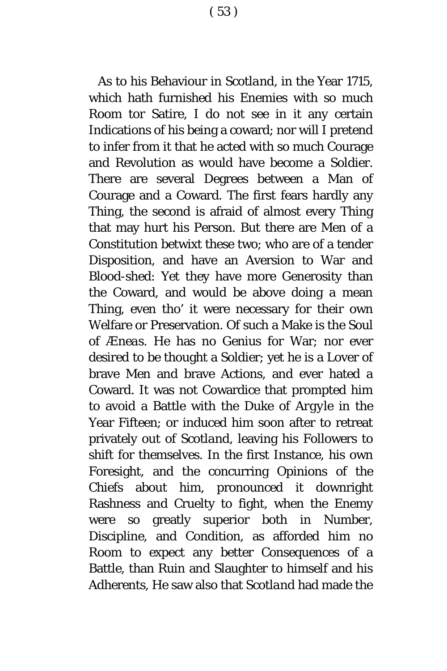As to his Behaviour in *Scotland,* in the Year 1715, which hath furnished his Enemies with so much Room tor Satire, I do not see in it any certain Indications of his being a coward; nor will I pretend to infer from it that he acted with so much Courage and Revolution as would have become a Soldier. There are several Degrees between a Man of Courage and a Coward. The first fears hardly any Thing, the second is afraid of almost every Thing that may hurt his Person. But there are Men of a Constitution betwixt these two; who are of a tender Disposition, and have an Aversion to War and Blood-shed: Yet they have more Generosity than the Coward, and would be above doing a mean Thing, even tho' it were necessary for their own Welfare or Preservation. Of such a Make is the Soul of *Æneas.* He has no Genius for War; nor ever desired to be thought a Soldier; yet he is a Lover of brave Men and brave Actions, and ever hated a Coward. It was not Cowardice that prompted him to avoid a Battle with the Duke of *Argyle* in the Year Fifteen; or induced him soon after to retreat privately out of *Scotland,* leaving his Followers to shift for themselves. In the first Instance, his own Foresight, and the concurring Opinions of the Chiefs about him, pronounced it downright Rashness and Cruelty to fight, when the Enemy were so greatly superior both in Number, Discipline, and Condition, as afforded him no R*o*om to expect any better Consequences of a Battle, than Ruin and Slaughter t*o* himself and his

Adherents, He saw also that *Scotland* had made the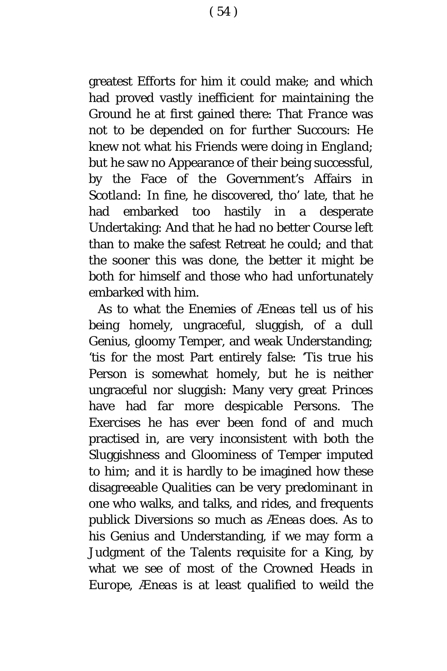greatest Efforts for him it could make; and which had proved vastly inefficient for maintaining the Gr*o*und he at first gained there: That *France* was not t*o* be depended on for further Succours: He knew not what his Friends were doing in *England*; but he saw no Appearance of their being successful, by the Face of the Government's Affairs in *Scotland:* In fine, he discovered, tho' late, that he had embarked too hastily in a desperate Undertaking: And that he had no better Course left than to make the safest Retreat he could; and that the sooner this was done, the better it might be both for himself and those who had unfortunately embarked with him.

As to what the Enemies of *Æneas* tell us of his being homely, ungraceful, sluggish, of a dull Genius, gloomy Temper, and weak Understanding; 'tis for the most Part entirely false: 'Tis true his Person is somewhat homely, but he is neither ungraceful nor sluggish: Many very great Princes have had far more despicable Persons. The Exercises he has ever been fond of and much practised in, are very inconsistent with both the Sluggishness and Gloominess of Temper imputed to him; and it is hardly to be imagined h*o*w these disagreeable Qualities can be very predominant in one who walks, and talks, and rides, and frequents publick Diversions so much as *Æneas* does. As to his Genius and Understanding, if we may form a Judgment of the Talents requisite for a King, by what we see of most of the Crowned Heads in *Europe*, *Æneas* is at least qualified to weild the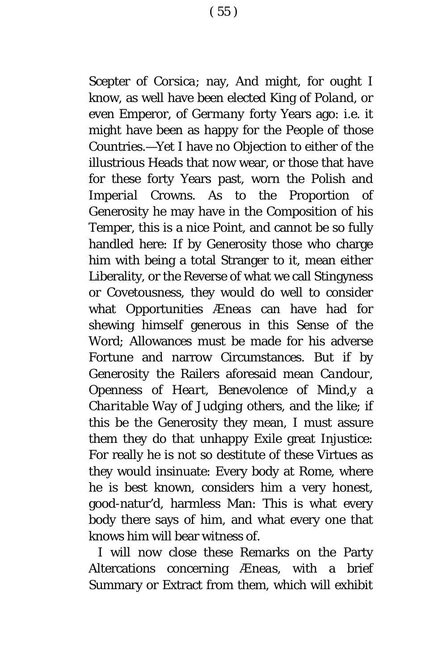Scepter of *Corsica*; nay, And might, for ought I know, as well have been elected King of *Poland*, or even Emperor, of *Germany* forty Years ago: *i.e*. it might have been as happy for the People of those Countries.—Yet I have no Objection to either of the illustrious Heads that now wear, or those that have for these forty Years past, worn the *Polish* and *Imperial* Crowns. As to the Proportion of Generosity he may have in the Composition of his Temper, this is a nice Point, and cannot be so fully handled here: If by Generosity those who charge him with being a total Stranger to it, mean either Liberality, *o*r the Reverse of what we call Stingyness or Covetousness, they would do well to consider what Opportunities *Æneas* can have had f*o*r shewing himself generous in this Sense of the Word; Allowances must be made for his adverse Fortune and narrow Circumstances. But if by *Generosity* the Railers aforesaid mean *Candour*, *Openness* of *Heart, Benevolence* of *Mind,y* a *Charitable* Way of *Judging* others, and the like; if this be the Generosity they mean, I must assure them they do that unhappy *Exile* great Injustice: For really he is not so destitute of these Virtues as they would insinuate: Every body at *Rome*, where he is best known, considers him a very honest, good-natur'd, harmless Man: This is what every body there says of him, and what every one that knows him will bear witness of.

I will now close these Remarks on the Party Altercations concerning *Æneas*, with a brief Summary or Extract from them, which will exhibit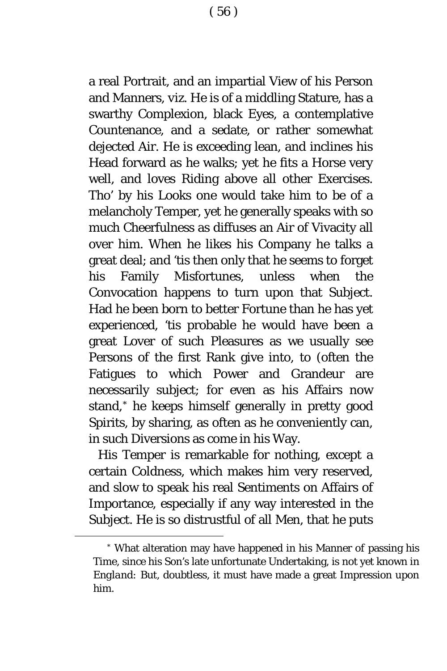a real Portrait, and an impartial View of his Person and Manners, *viz*. He is of a middling Stature, has a swarthy Complexion, black Eyes, a contemplative Countenance, and a sedate, or rather somewhat dejected Air. He is exceeding lean, and inclines his Head forward as he walks; yet he fits a Horse very well, and loves Riding above all other Exercises. Tho' by his Looks one would take him to be of a melancholy Temper, yet he generally speaks with so much Cheerfulness as diffuses an Air of Vivacity all over him. When he likes his Company he talks a great deal; and 'tis then only that he seems to forget his Family Misfortunes, unless when the Convocation happens to turn upon that Subject. Had he been born to better Fortune than he has yet experienced, 'tis probable he would have been a great Lover of such Pleasures as we usually see Persons of the first Rank give into, to (often the Fatigues t*o* which Power and Grandeur are necessarily subject; for even as his Affairs now stand,[\\*](#page-56-0) he keeps himself generally in pretty g*o*od Spirits, by sharing, as often as he conveniently can, in such Diversions as come in his Way.

His Temper is remarkable for nothing, except a certain Coldness, which makes him very reserved, and slow to speak his real Sentiments on Affairs of Importance, especially if any way interested in the Subject. He is so distrustful of all Men, that he puts

<span id="page-56-0"></span><sup>\*</sup> What alteration may have happened in his Manner of passing his Time, since his Son's late unfortunate Undertaking, is n*o*t yet known in *England:* But, doubtless, it must have made a great Impression upon him.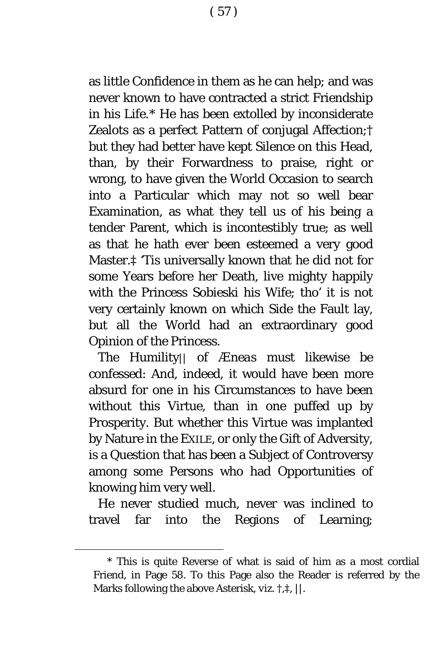as little Confidence in them as he can help; and was never known to have contracted a strict Friendship in his Life.[\\*](#page-57-0) He has been extolled by inconsiderate Zealots as a perfect Pattern of conjugal Affection;† but they had better have kept Silence on this Head, than, by their Forwardness to praise, right *o*r wrong, to have given the World Occasion t*o* search into a Particular which may not so well bear Examination, as what they tell us of his being a tender Parent, which is incontestibly true; as well as that he hath ever been esteemed a very good Master.‡ 'Tis universally known that he did not for some Years before her Death, live mighty happily with the Princess *Sobieski* his Wife; tho' it is not very certainly known on which Side the Fault lay, but all the World had an extraordinary good Opinion of the Princess.

The Humility|| of *Æneas* must likewise be confessed: And, indeed, it would have been more absurd for one in his Circumstances to have been without this Virtue, than in one puffed up by Prosperity. But whether this Virtue was implanted by Nature in the EXILE, or only the Gift of Adversity, is a Question that has been a Subject of Controversy among some Persons who had Opportunities of knowing him very well.

He never studied much, never was inclined to travel far into the Regions of Learning;

<span id="page-57-0"></span><sup>\*</sup> This is quite Reverse of what is said of him as a most cordial Friend, in Page 58. To this Page also the Reader is referred by the Marks f*o*llowing the above Asterisk, *viz.* †,‡*,* ||.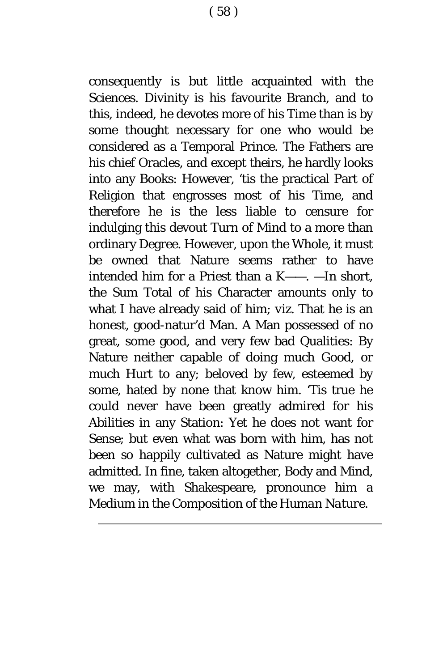consequently is but little acquainted with the Sciences. Divinity is his favourite Branch, and to this, indeed, he devotes more of his Time than is by some thought necessary for one who would be considered as a Temporal Prince. The Fathers are his chief Oracles, and except theirs, he hardly looks into any Books: However, 'tis the practical Part of Religion that engrosses most of his Time, and therefore he is the less liable to censure for indulging this devout Turn of Mind to a more than ordinary Degree. However, upon the Whole, it must be owned that Nature seems rather to have intended him for a Priest than a K——. —In short, the Sum Total of his Character amounts only to what I have already said of him; *viz*. That he is an honest, good-natur'd Man. A Man possessed of no great, some good, and very few bad Qualities: By Nature neither capable of doing much Good, or much Hurt to any; beloved by few, esteemed by some, hated by none that know him. 'Tis true he could never have been greatly admired for his Abilities in any Station: Yet he does not want for Sense; but even what was born with him, has not been so happily cultivated as Nature might have admitted. In fine, taken altogether, Body and Mind, we may, with Shakespeare, pronounce him a *Medium in the Composition of the Human Nature*.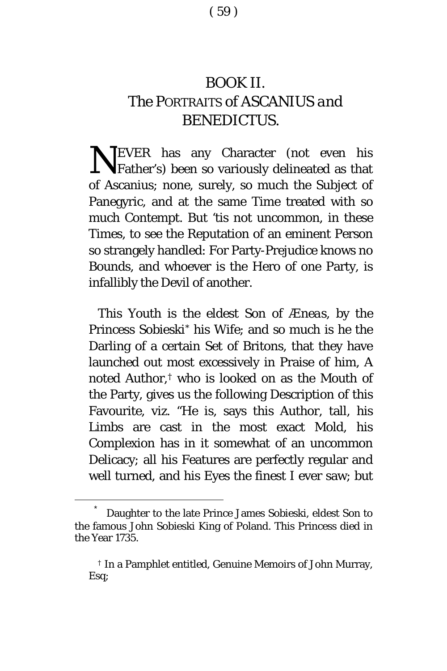## BOOK II. *The* PORTRAITS *of* ASCANIUS *and* BENEDICTUS.

NEVER has any Character (not even his Father's) been so variously delineated as that Father's) been so variously delineated as that of Ascanius; none, surely, so much the Subject of Panegyric, and at the same Time treated with so much Contempt. But 'tis not uncommon, in these Times, to see the Reputation of an eminent Person so strangely handled: For Party-Prejudice knows no Bounds, and whoever is the Hero of one Party, is infallibly the Devil of another.

This Youth is the eldest Son of *Æneas*, by the Princess Sobieski[\\*](#page-59-0) his Wife; and so much is he the Darling of a certain Set of Britons, that they have launched out most excessively in Praise of him, A noted Author,[†](#page-59-1) who is looked on as the Mouth of the Party, gives us the following Description of this Favourite, viz. "He is, says this Author, tall, his Limbs are cast in the most exact Mold, his Complexion has in it somewhat of an uncommon Delicacy; all his Features are perfectly regular and well turned, and his Eyes the finest I ever saw; but

<span id="page-59-1"></span><span id="page-59-0"></span>Daughter to the late Prince James Sobieski, eldest Son to the famous John Sobieski King of Poland. This Princess died in the Year 1735.

<sup>†</sup> In a Pamphlet entitled, Genuine Memoirs of John Murray, Esq;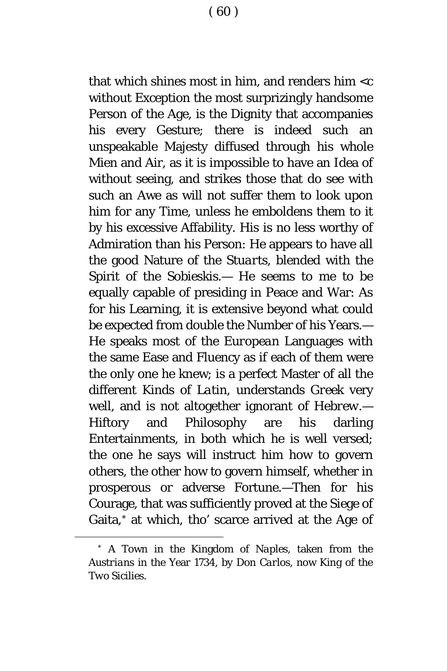that which shines most in him, and renders him  $\lt c$ without Exception the most surprizingly handsome Person of the Age, is the Dignity that accompanies his every Gesture; there is indeed such an unspeakable Majesty diffused through his whole Mien and Air, as it is impossible to have an Idea of without seeing, and strikes those that do see with such an Awe as will not suffer them to look upon him for any Time, unless he emboldens them to it by his excessive Affability. His is no less worthy of Admiration than his Person: He appears to have all the good Nature of the *Stuarts*, blended with the Spirit of the *Sobieskis*.— He seems to me to be equally capable of presiding in Peace and War: As for his Learning, it is extensive beyond what could be expected from double the Number of his Years.— He speaks most of the *European* Languages with the same Ease and Fluency as if each of them were the only one he knew; is a perfect Master of all the different Kinds of *Latin*, understands *Greek* very well, and is not altogether ignorant of *Hebrew*.— Hiftory and Philosophy are his darling Entertainments, in both which he is well versed; the one he says will instruct him how to govern others, the other how to govern himself, whether in prosperous or adverse Fortune.—Then for his Courage, that was sufficiently proved at the Siege of Gaita,[\\*](#page-60-0) at which, tho' scarce arrived at the Age of

<span id="page-60-0"></span><sup>\*</sup> A Town in the Kingdom of *Naples*, taken from the *Austrians* in the Year 1734, by *Don Carlos*, now King of the *Two Sicilies*.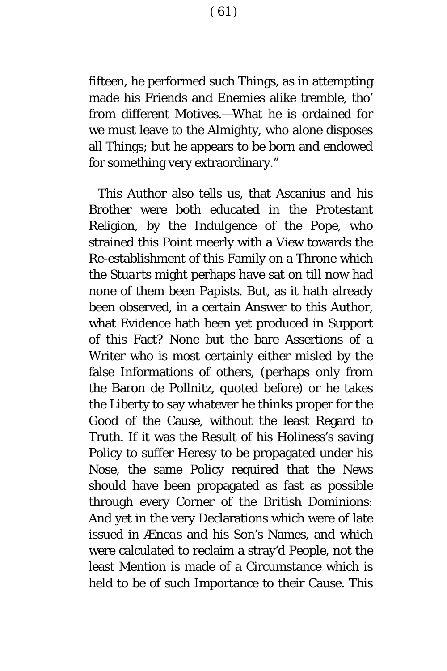fifteen, he performed such Things, as in attempting made his Friends and Enemies alike tremble, tho' from different Motives.—What he is ordained for we must leave to the Almighty, who alone disposes all Things; but he appears to be born and endowed for something very extraordinary."

This Author also tells us, that Ascanius and his Brother were both educated in the Protestant Religion, by the *Indulgence* of the Pope, who strained this Point meerly with a View towards the Re-establishment of this Family on a Throne which the *Stuarts* might perhaps have sat on till now had none of them been Papists. But, as it hath already been observed, in a certain Answer to this Author, what Evidence hath been yet produced in Support of this Fact? None but the bare Assertions of a Writer who is most certainly either misled by the false Informations of others, (perhaps only from the Baron *de Pollnitz*, quoted before) or he takes the Liberty to say whatever he thinks proper for the Good of the Cause, without the least Regard to Truth. If it was the Result of his Holiness's saving Policy to suffer Heresy to be propagated under his Nose, the same Policy required that the News should have been propagated as fast as possible through every Corner of the *British* Dominions: And yet in the very Declarations which were of late issued in *Æneas* and his Son's Names, and which were calculated to reclaim a stray'd People, not the least Mention is made of a Circumstance which is held to be of such Importance to their Cause. This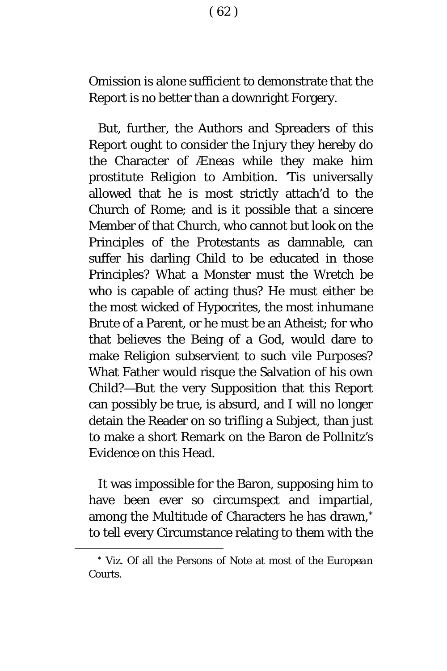Omission is alone sufficient to demonstrate that the Report is no better than a downright Forgery.

But, further, the Authors and Spreaders of this Report ought to consider the Injury they hereby do the Character of *Æneas* while they make him prostitute Religion to Ambition. 'Tis universally allowed that he is most strictly attach'd to the Church of *Rome*; and is it possible that a sincere Member of that Church, who cannot but look on the Principles of the Protestants as damnable, can suffer his darling Child to be educated in those Principles? What a Monster must the Wretch be who is capable of acting thus? He must either be the most wicked of Hypocrites, the most inhumane Brute of a Parent, or he must be an Atheist; for who that believes the Being of a God, would dare to make Religion subservient to such vile Purposes? What Father would risque the Salvation of his own Child?—But the very Supposition that this Report can possibly be true, is absurd, and I will no longer detain the Reader on so trifling a Subject, than just to make a short Remark on the Baron *de Pollnitz's* Evidence on this Head.

It was impossible for the Baron, supposing him to have been ever so circumspect and impartial, among the Multitude of Characters he has drawn,[\\*](#page-62-0) to tell every Circumstance relating to them with the

<span id="page-62-0"></span><sup>\*</sup> *Viz*. Of all the Persons of Note at most of the *European* Courts.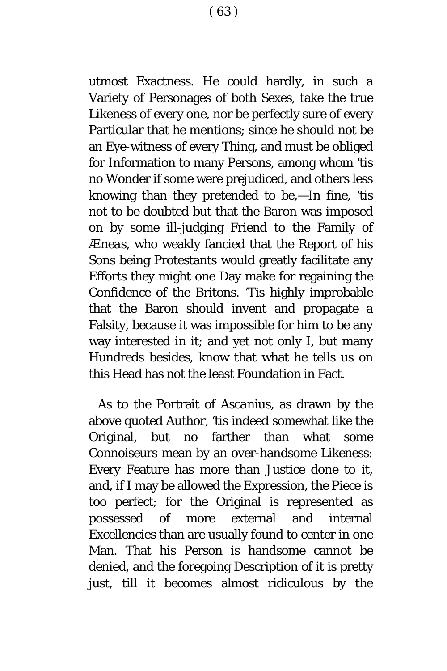utmost Exactness. He could hardly, in such a Variety of Personages of both Sexes, take the true Likeness of every one, nor be perfectly sure of every Particular that he mentions; since he should not be an Eye-witness of every Thing, and must be obliged for Information to many Persons, among whom 'tis no Wonder if some were prejudiced, and others less knowing than they pretended to be,—In fine, 'tis not to be doubted but that the Baron was imposed on by some ill-judging Friend to the Family of *Æneas*, who weakly fancied that the Report of his Sons being Protestants would greatly facilitate any Efforts they might one Day make for regaining the Confidence of the Britons. 'Tis highly improbable that the Baron should invent and propagate a Falsity, because it was impossible for him to be any way interested in it; and yet not only I, but many Hundreds besides, know that what he tells us on this Head has not the least Foundation in Fact.

As to the Portrait of *Ascanius*, as drawn by the above quoted Author, 'tis indeed somewhat like the Original, but no farther than what some Connoiseurs mean by an over-handsome Likeness: Every Feature has more than Justice done to it, and, if I may be allowed the Expression, the Piece is too perfect; for the Original is represented as possessed of more external and internal Excellencies than are usually found to center in one Man. That his Person is handsome cannot be denied, and the foregoing Description of it is pretty just, till it becomes almost ridiculous by the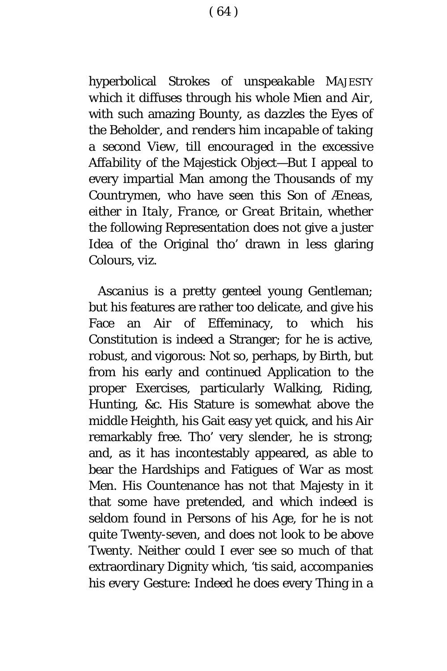hyperbolical Strokes of *unspeakable* MAJESTY *which it diffuses through his whole Mien and Air*, with such amazing Bounty, *as dazzles the Eyes of the Beholder, and renders him incapable of taking a second View, till encouraged in the excessive Affability of the* Majestick Object—But I appeal to every impartial Man among the Thousands of my Countrymen, who have seen this Son of *Æneas*, either in *Italy*, *France*, or *Great Britain*, whether the following Representation does not give a juster Idea of the Original tho' drawn in less glaring Colours, *viz*.

*Ascanius* is a pretty genteel young Gentleman; but his features are rather too delicate, and give his Face an Air of Effeminacy, to which his Constitution is indeed a Stranger; for he is active, robust, and vigorous: Not so, perhaps, by Birth, but from his early and continued Application to the proper Exercises, particularly Walking, Riding, Hunting, &c. His Stature is somewhat above the middle Heighth, his Gait easy yet quick, and his Air remarkably free. Tho' very slender, he is strong; and, as it has incontestably appeared, as able to bear the Hardships and Fatigues of War as most Men. His Countenance has not that Majesty in it that some have pretended, and which indeed is seldom found in Persons of his Age, for he is not quite Twenty-seven, and does not look to be above Twenty. Neither could I ever see so much of that extraordinary Dignity which, 'tis said, *accompanies his every Gesture*: Indeed he does every Thing in a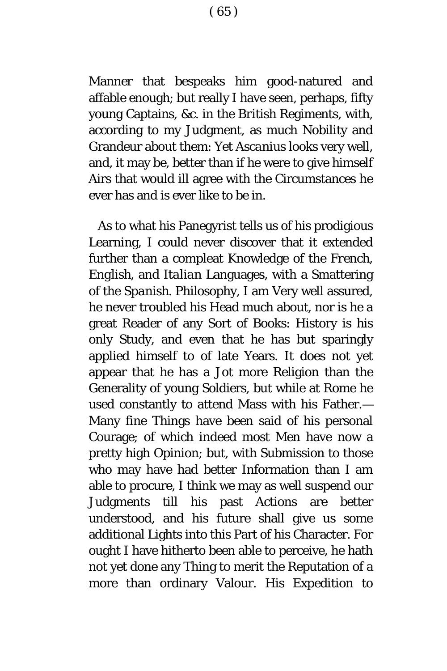Manner that bespeaks him good-natured and affable enough; but really I have seen, perhaps, fifty young Captains, &c. in the *British* Regiments, with, according to my Judgment, as much Nobility and Grandeur about them: Yet *Ascanius* looks very well, and, it may be, better than if he were to give himself Airs that would ill agree with the Circumstances he ever has and is ever like to be in.

As to what his Panegyrist tells us of his prodigious Learning, I could never discover that it extended further than a compleat Knowledge of the *French*, *English*, and *Italian* Languages, with a Smattering of the *Spanish*. Philosophy, I am Very well assured, he never troubled his Head much about, nor is he a great Reader of any Sort of Books: History is his only Study, and even that he has but sparingly applied himself to of late Years. It does not yet appear that he has a Jot more Religion than the Generality of young Soldiers, but while at *Rome* he used constantly to attend Mass with his Father.— Many fine Things have been said of his personal Courage; of which indeed most Men have now a pretty high Opinion; but, with Submission to those who may have had better Information than I am able to procure, I think we may as well suspend our Judgments till his past Actions are better understood, and his future shall give us some additional Lights into this Part of his Character. For ought I have hitherto been able to perceive, he hath not yet done any Thing to merit the Reputation of a more than ordinary Valour. His Expedition to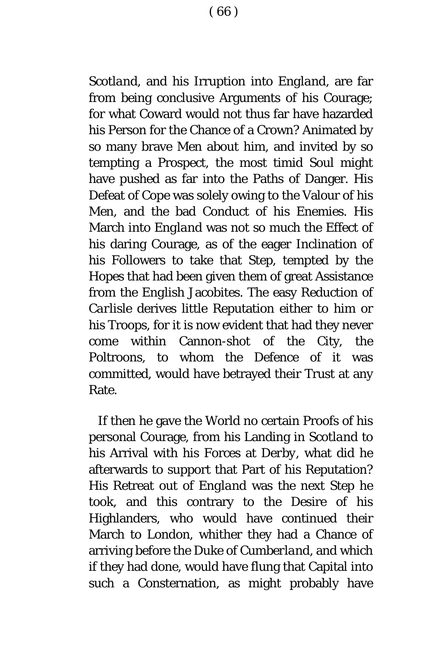*Scotland*, and his Irruption into *England*, are far from being conclusive Arguments of his Courage; for what Coward would not thus far have hazarded his Person for the Chance of a Crown? Animated by so many brave Men about him, and invited by so tempting a Prospect, the most timid Soul might have pushed as far into the Paths of Danger. His Defeat of *Cope* was solely owing to the Valour of his Men, and the bad Conduct of his Enemies. His March into *England* was not so much the Effect of his daring Courage, as of the eager Inclination of his Followers to take that Step, tempted by the Hopes that had been given them of great Assistance from the *English* Jacobites. The easy Reduction of *Carlisle* derives little Reputation either to him or his Troops, for it is now evident that had they never come within Cannon-shot of the City, the Poltroons, to whom the Defence of it was committed, would have betrayed their Trust at any Rate.

If then he gave the World no certain Proofs of his personal Courage, from his Landing in *Scotland* to his Arrival with his Forces at *Derby*, what did he afterwards to support that Part of his Reputation? His Retreat out of *England* was the next Step he took, and this contrary to the Desire of his Highlanders, who would have continued their March to *London*, whither they had a Chance of arriving before the Duke of *Cumberland*, and which if they had done, would have flung that Capital into such a Consternation, as might probably have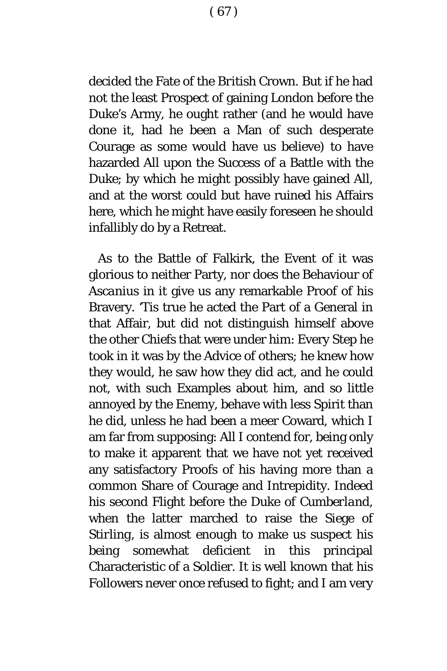decided the Fate of the *British* Crown. But if he had not the least Prospect of gaining *London* before the Duke's Army, he ought rather (and he would have done it, had he been a Man of such desperate Courage as some would have us believe) to have hazarded All upon the Success of a Battle with the Duke; by which he might possibly have gained All, and at the worst could but have ruined his Affairs here, which he might have easily foreseen he should infallibly do by a Retreat.

As to the Battle of Falkirk, the Event of it was glorious to neither Party, nor does the Behaviour of *Ascanius* in it give us any remarkable Proof of his Bravery. 'Tis true he acted the Part of a General in that Affair, but did not distinguish himself above the other Chiefs that were under him: Every Step he took in it was by the Advice of others; he knew how they *would*, he saw how they *did* act, and he could not, with such Examples about him, and so little annoyed by the Enemy, behave with less Spirit than he did, unless he had been a meer Coward, which I am far from supposing: All I contend for, being only to make it apparent that we have not yet received any satisfactory Proofs of his having more than a common Share of Courage and Intrepidity. Indeed his second Flight before the Duke of *Cumberland*, when the latter marched to raise the Siege of *Stirling*, is almost enough to make us suspect his being somewhat deficient in this principal Characteristic of a Soldier. It is well known that his Followers never once refused to fight; and I am very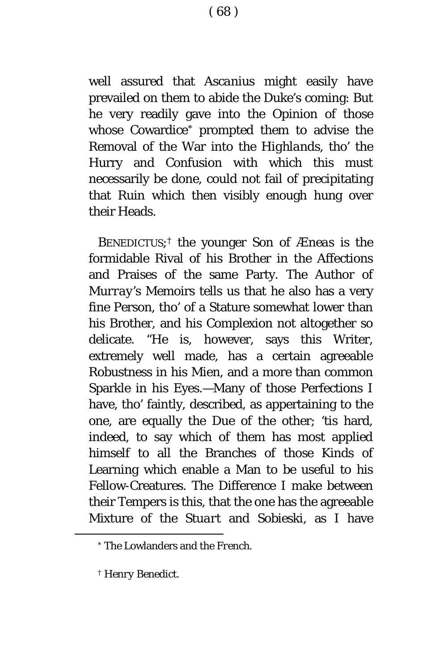well assured that *Ascanius* might easily have prevailed on them to abide the Duke's coming: But he very readily gave into the Opinion of those whose Cowardice[\\*](#page-68-0) prompted them to advise the Removal of the War into the *Highlands*, tho' the Hurry and Confusion with which this must necessarily be done, could not fail of precipitating that Ruin which then visibly enough hung over their Heads.

BENEDICTUS;[†](#page-68-1) the younger Son of *Æneas* is the formidable Rival of his Brother in the Affections and Praises of the same Party. The Author of *Murray's* Memoirs tells us that he also has a very fine Person, tho' of a Stature somewhat lower than his Brother, and his Complexion not altogether so delicate. "He is, however, says this Writer, extremely well made, has a certain agreeable Robustness in his Mien, and a more than common Sparkle in his Eyes.—Many of those Perfections I have, tho' faintly, described, as appertaining to the one, are equally the Due of the other; 'tis hard, indeed, to say which of them has most applied himself to all the Branches of those Kinds of Learning which enable a Man to be useful to his Fellow-Creatures. The Difference I make between their Tempers is this, that the one has the agreeable Mixture of the *Stuart* and *Sobieski*, as I have

<span id="page-68-0"></span><sup>\*</sup> The Lowlanders and the *French*.

<span id="page-68-1"></span><sup>†</sup> *Henry Benedict.*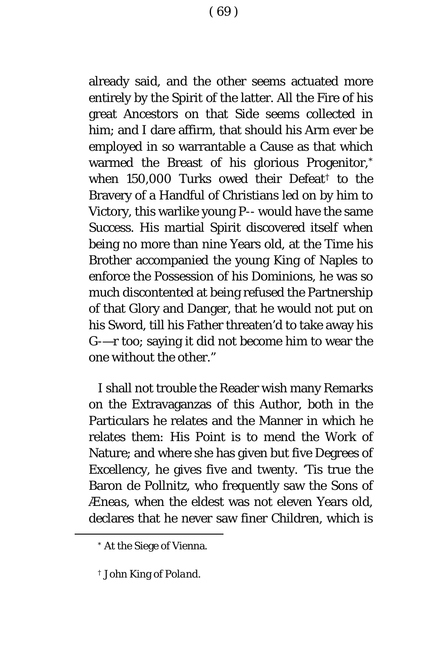already said, and the other seems actuated more entirely by the Spirit of the latter. All the Fire of his great Ancestors on that Side seems collected in him; and I dare affirm, that should his Arm ever be employed in so warrantable a Cause as that which warmed the Breast of his glorious Progenitor,[\\*](#page-69-0) when 150,000 Turks owed their Defeat[†](#page-69-1) to the Bravery of a Handful of Christians led on by him to Victory, this warlike young P-- would have the same Success. His martial Spirit discovered itself when being no more than nine Years old, at the Time his Brother accompanied the young King of Naples to enforce the Possession of his Dominions, he was so much discontented at being refused the Partnership of that Glory and Danger, that he would not put on his Sword, till his Father threaten'd to take away his G-—r too; saying it did not become him to wear the one without the other."

I shall not trouble the Reader wish many Remarks on the Extravaganzas of this Author, both in the Particulars he relates and the Manner in which he relates them: His Point is to mend the Work of Nature; and where she has given but five Degrees of Excellency, he gives five and twenty. 'Tis true the Baron *de Pollnitz*, who frequently saw the Sons of *Æneas*, when the eldest was not eleven Years old, declares that he never saw finer Children, which is

<span id="page-69-0"></span><sup>\*</sup> At the Siege of Vienna.

<span id="page-69-1"></span><sup>†</sup> *John* King of *Poland*.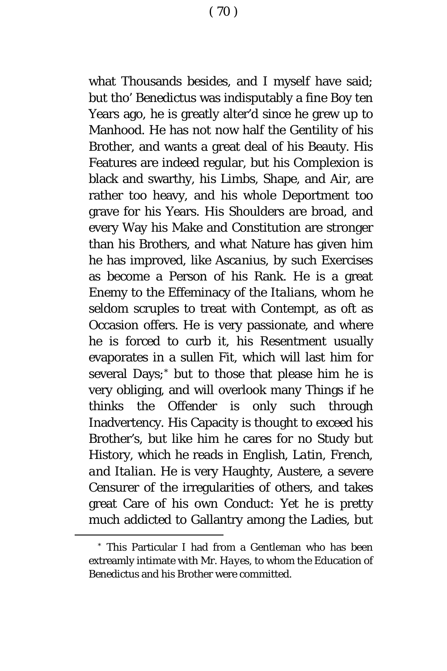what Thousands besides, and I myself have said; but tho' *Benedictus* was indisputably a fine Boy ten Years ago, he is greatly alter'd since he grew up to Manhood. He has not now half the Gentility of his Brother, and wants a great deal of his Beauty. His Features are indeed regular, but his Complexion is black and swarthy, his Limbs, Shape, and Air, are rather too heavy, and his whole Deportment too grave for his Years. His Shoulders are broad, and every Way his Make and Constitution are stronger than his Brothers, and what Nature has given him he has improved, like *Ascanius*, by such Exercises as become a Person of his Rank. He is a great Enemy to the Effeminacy of the *Italians*, whom he seldom scruples to treat with Contempt, as oft as Occasion offers. He is very passionate, and where he is forced to curb it, his Resentment usually evaporates in a sullen Fit, which will last him for several Days;[\\*](#page-70-0) but to those that please him he is very obliging, and will overlook many Things if he thinks the Offender is only such through Inadvertency. His Capacity is thought to exceed his Brother's, but like him he cares for no Study but History, which he reads in *English, Latin, French, and Italian*. He is very Haughty, Austere, a severe Censurer of the irregularities of others, and takes great Care of his own Conduct: Yet he is pretty much addicted to Gallantry among the Ladies, but

<span id="page-70-0"></span><sup>\*</sup> This Particular I had from a Gentleman who has been extreamly intimate with Mr. *Hayes*, to whom the Education of *Benedictus* and his Brother were committed.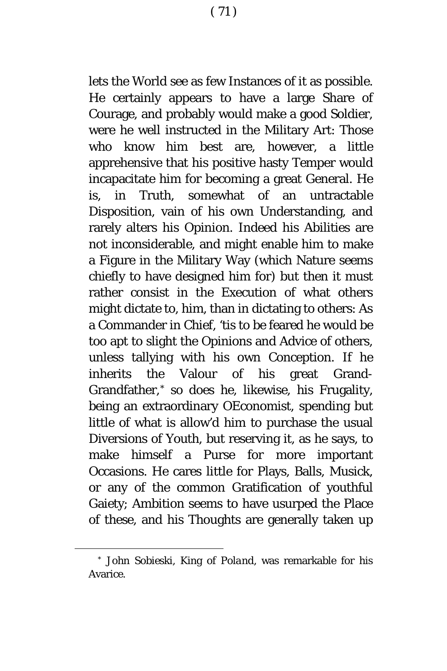lets the World see as few Instances of it as possible. He certainly appears to have a large Share of Courage, and probably would make a good Soldier, were he well instructed in the Military Art: Those who know him best are, however, a little apprehensive that his positive hasty Temper would incapacitate him for becoming a great General. He is, in Truth, somewhat of an untractable Disposition, vain of his own Understanding, and rarely alters his Opinion. Indeed his Abilities are not inconsiderable, and might enable him to make a Figure in the Military Way (which Nature seems chiefly to have designed him for) but then it must rather consist in the Execution of what others might dictate to, him, than in dictating to others: As a Commander in Chief, 'tis to be feared he would be too apt to slight the Opinions and Advice of others, unless tallying with his own Conception. If he inherits the Valour of his great Grand-Grandfather,[\\*](#page-71-0) so does he, likewise, his Frugality, being an extraordinary OEconomist, spending but little of what is allow'd him to purchase the usual Diversions of Youth, but reserving it, as he says, to make himself a Purse for more important Occasions. He cares little for Plays, Balls, Musick, or any of the common Gratification of youthful Gaiety; Ambition seems to have usurped the Place of these, and his Thoughts are generally taken up

<span id="page-71-0"></span><sup>\*</sup> *John Sobieski*, King of *Poland*, was remarkable for his Avarice.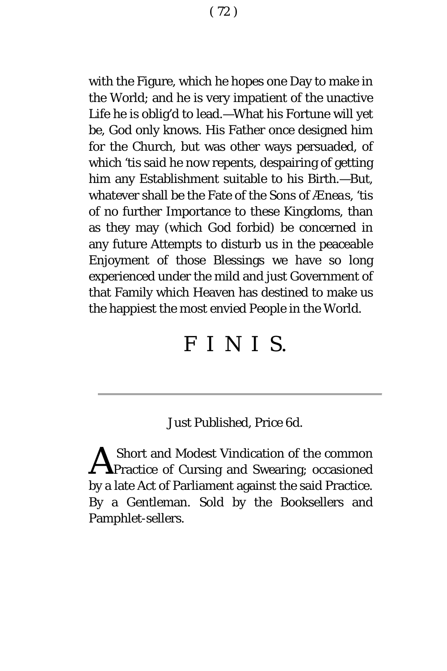with the Figure, which he hopes one Day to make in the World; and he is very impatient of the unactive Life he is oblig'd to lead.—What his Fortune will yet be, God only knows. His Father once designed him for the Church, but was other ways persuaded, of which 'tis said he now repents, despairing of getting him any Establishment suitable to his Birth.—But, whatever shall be the Fate of the Sons of *Æneas*, 'tis of no further Importance to these Kingdoms, than as they may (which God forbid) be concerned in any future Attempts to disturb us in the peaceable Enjoyment of those Blessings we have so long experienced under the mild and just Government of that Family which Heaven has destined to make us the happiest the most envied People in the World.

# *FINI S.*

# *Just Published*, Price 6d.

Short and Modest Vindication of the common **A** Short and Modest Vindication of the common<br>Practice of Cursing and Swearing; occasioned by a late Act of Parliament against the said Practice. By a Gentleman. Sold by the Booksellers and Pamphlet-sellers.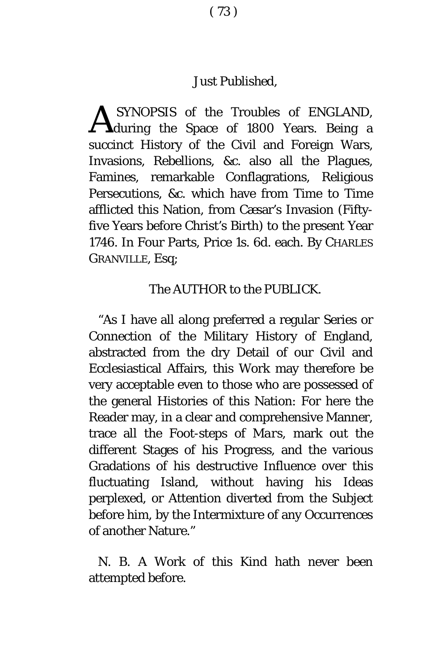## *Just Published*,

SYNOPSIS of the Troubles of *ENGLAND*, **A** SYNOPSIS of the Troubles of *ENGLAND*, during the Space of 1800 Years. Being a succinct History of the Civil and Foreign Wars, Invasions, Rebellions, &c. also all the Plagues, Famines, remarkable Conflagrations, Religious Persecutions, &c. which have from Time to Time afflicted this Nation, from Cæsar's Invasion (Fiftyfive Years before Christ's Birth) to the present Year 1746. In Four Parts, Price 1*s*. 6*d*. each. By CHARLES GRANVILLE, Esq;

#### The AUTHOR to the PUBLICK.

"As I have all along preferred a regular Series or Connection of the Military History of England, abstracted from the dry Detail of our Civil and Ecclesiastical Affairs, this Work may therefore be very acceptable even to those who are possessed of the general Histories of this Nation: For here the Reader may, in a clear and comprehensive Manner, trace all the Foot-steps of *Mars,* mark out the different Stages of his Progress, and the various Gradations of his destructive Influence over this fluctuating Island, without having his Ideas perplexed, or Attention diverted from the Subject before him, by the Intermixture of any Occurrences of another Nature."

N. B. A Work of this Kind hath never been attempted before.